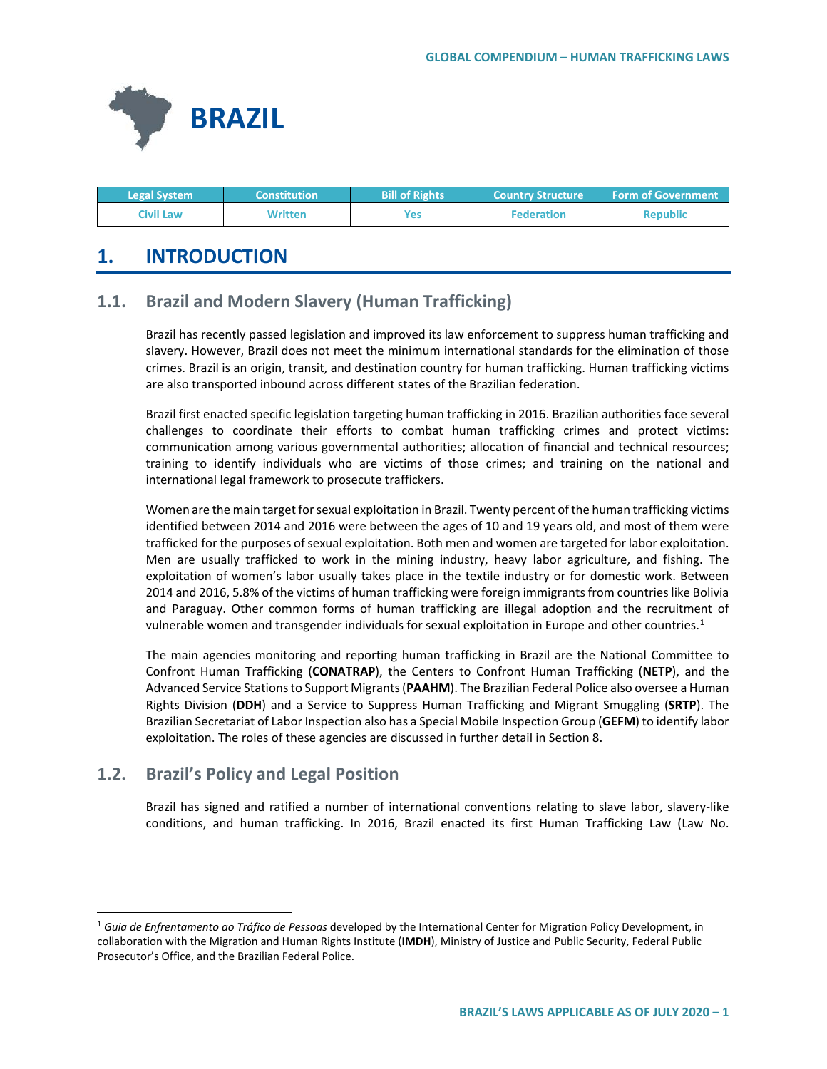

| <b>Legal System</b> | <b>Constitution</b> | <b>Bill of Rights</b> | <b>Country Structure</b> | <b>Form of Government</b> |
|---------------------|---------------------|-----------------------|--------------------------|---------------------------|
| Civil Law           | Written             | Yes                   | <b>Federation</b>        | <b>Republic</b>           |

# **1. INTRODUCTION**

## **1.1. Brazil and Modern Slavery (Human Trafficking)**

Brazil has recently passed legislation and improved its law enforcement to suppress human trafficking and slavery. However, Brazil does not meet the minimum international standards for the elimination of those crimes. Brazil is an origin, transit, and destination country for human trafficking. Human trafficking victims are also transported inbound across different states of the Brazilian federation.

Brazil first enacted specific legislation targeting human trafficking in 2016. Brazilian authorities face several challenges to coordinate their efforts to combat human trafficking crimes and protect victims: communication among various governmental authorities; allocation of financial and technical resources; training to identify individuals who are victims of those crimes; and training on the national and international legal framework to prosecute traffickers.

Women are the main target for sexual exploitation in Brazil. Twenty percent of the human trafficking victims identified between 2014 and 2016 were between the ages of 10 and 19 years old, and most of them were trafficked for the purposes of sexual exploitation. Both men and women are targeted for labor exploitation. Men are usually trafficked to work in the mining industry, heavy labor agriculture, and fishing. The exploitation of women's labor usually takes place in the textile industry or for domestic work. Between 2014 and 2016, 5.8% of the victims of human trafficking were foreign immigrants from countries like Bolivia and Paraguay. Other common forms of human trafficking are illegal adoption and the recruitment of vulnerable women and transgender individuals for sexual exploitation in Europe and other countries.<sup>1</sup>

The main agencies monitoring and reporting human trafficking in Brazil are the National Committee to Confront Human Trafficking (**CONATRAP**), the Centers to Confront Human Trafficking (**NETP**), and the Advanced Service Stations to Support Migrants (**PAAHM**). The Brazilian Federal Police also oversee a Human Rights Division (**DDH**) and a Service to Suppress Human Trafficking and Migrant Smuggling (**SRTP**). The Brazilian Secretariat of Labor Inspection also has a Special Mobile Inspection Group (**GEFM**) to identify labor exploitation. The roles of these agencies are discussed in further detail in Section 8.

## **1.2. Brazil's Policy and Legal Position**

Brazil has signed and ratified a number of international conventions relating to slave labor, slavery-like conditions, and human trafficking. In 2016, Brazil enacted its first Human Trafficking Law (Law No.

<span id="page-0-0"></span> <sup>1</sup> *Guia de Enfrentamento ao Tráfico de Pessoas* developed by the International Center for Migration Policy Development, in collaboration with the Migration and Human Rights Institute (**IMDH**), Ministry of Justice and Public Security, Federal Public Prosecutor's Office, and the Brazilian Federal Police.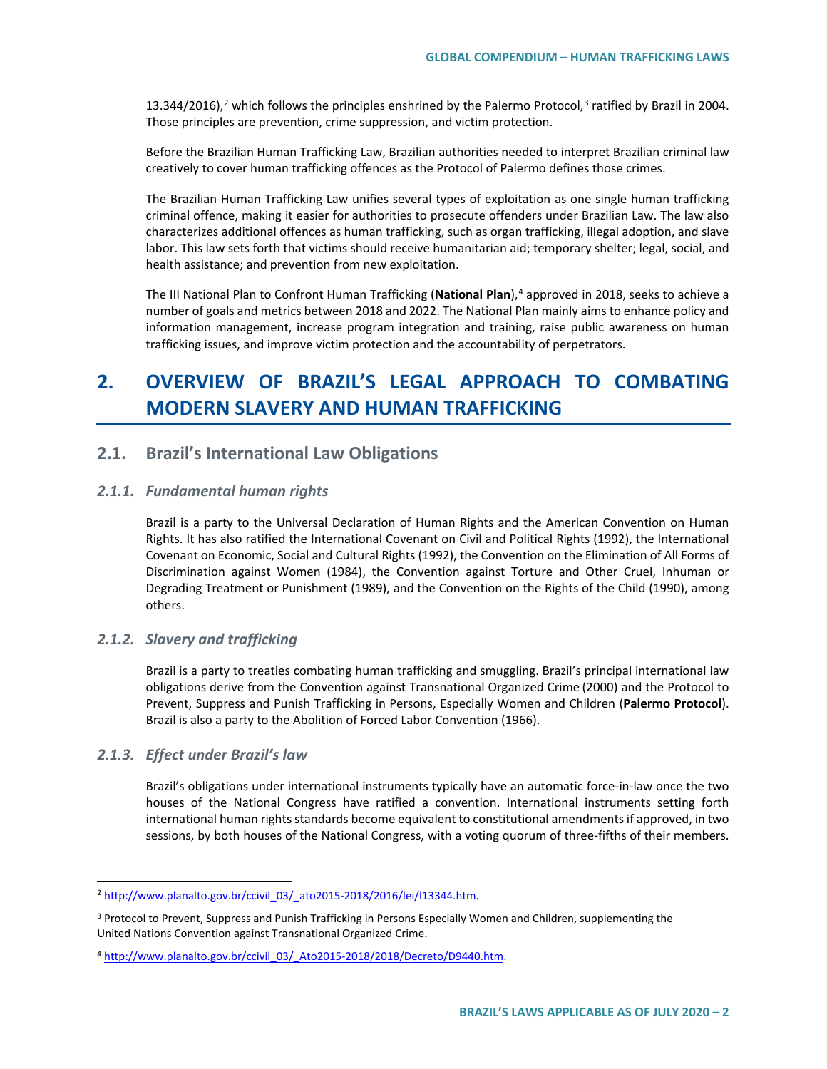13.344/[2](#page-1-0)016),<sup>2</sup> which follows the principles enshrined by the Palermo Protocol,<sup>[3](#page-1-1)</sup> ratified by Brazil in 2004. Those principles are prevention, crime suppression, and victim protection.

Before the Brazilian Human Trafficking Law, Brazilian authorities needed to interpret Brazilian criminal law creatively to cover human trafficking offences as the Protocol of Palermo defines those crimes.

The Brazilian Human Trafficking Law unifies several types of exploitation as one single human trafficking criminal offence, making it easier for authorities to prosecute offenders under Brazilian Law. The law also characterizes additional offences as human trafficking, such as organ trafficking, illegal adoption, and slave labor. This law sets forth that victims should receive humanitarian aid; temporary shelter; legal, social, and health assistance; and prevention from new exploitation.

The III National Plan to Confront Human Trafficking (**National Plan**),[4](#page-1-2) approved in 2018, seeks to achieve a number of goals and metrics between 2018 and 2022. The National Plan mainly aims to enhance policy and information management, increase program integration and training, raise public awareness on human trafficking issues, and improve victim protection and the accountability of perpetrators.

# **2. OVERVIEW OF BRAZIL'S LEGAL APPROACH TO COMBATING MODERN SLAVERY AND HUMAN TRAFFICKING**

### **2.1. Brazil's International Law Obligations**

#### *2.1.1. Fundamental human rights*

Brazil is a party to the Universal Declaration of Human Rights and the American Convention on Human Rights. It has also ratified the International Covenant on Civil and Political Rights (1992), the International Covenant on Economic, Social and Cultural Rights (1992), the Convention on the Elimination of All Forms of Discrimination against Women (1984), the Convention against Torture and Other Cruel, Inhuman or Degrading Treatment or Punishment (1989), and the Convention on the Rights of the Child (1990), among others.

#### *2.1.2. Slavery and trafficking*

Brazil is a party to treaties combating human trafficking and smuggling. Brazil's principal international law obligations derive from the Convention against Transnational Organized Crime (2000) and the Protocol to Prevent, Suppress and Punish Trafficking in Persons, Especially Women and Children (**Palermo Protocol**). Brazil is also a party to the Abolition of Forced Labor Convention (1966).

#### *2.1.3. Effect under Brazil's law*

Brazil's obligations under international instruments typically have an automatic force-in-law once the two houses of the National Congress have ratified a convention. International instruments setting forth international human rights standards become equivalent to constitutional amendments if approved, in two sessions, by both houses of the National Congress, with a voting quorum of three-fifths of their members.

<span id="page-1-0"></span><sup>&</sup>lt;sup>2</sup> [http://www.planalto.gov.br/ccivil\\_03/\\_ato2015-2018/2016/lei/l13344.htm.](http://www.planalto.gov.br/ccivil_03/_ato2015-2018/2016/lei/l13344.htm)

<span id="page-1-1"></span><sup>&</sup>lt;sup>3</sup> Protocol to Prevent, Suppress and Punish Trafficking in Persons Especially Women and Children, supplementing the United Nations Convention against Transnational Organized Crime.

<span id="page-1-2"></span><sup>4</sup> [http://www.planalto.gov.br/ccivil\\_03/\\_Ato2015-2018/2018/Decreto/D9440.htm.](http://www.planalto.gov.br/ccivil_03/_Ato2015-2018/2018/Decreto/D9440.htm)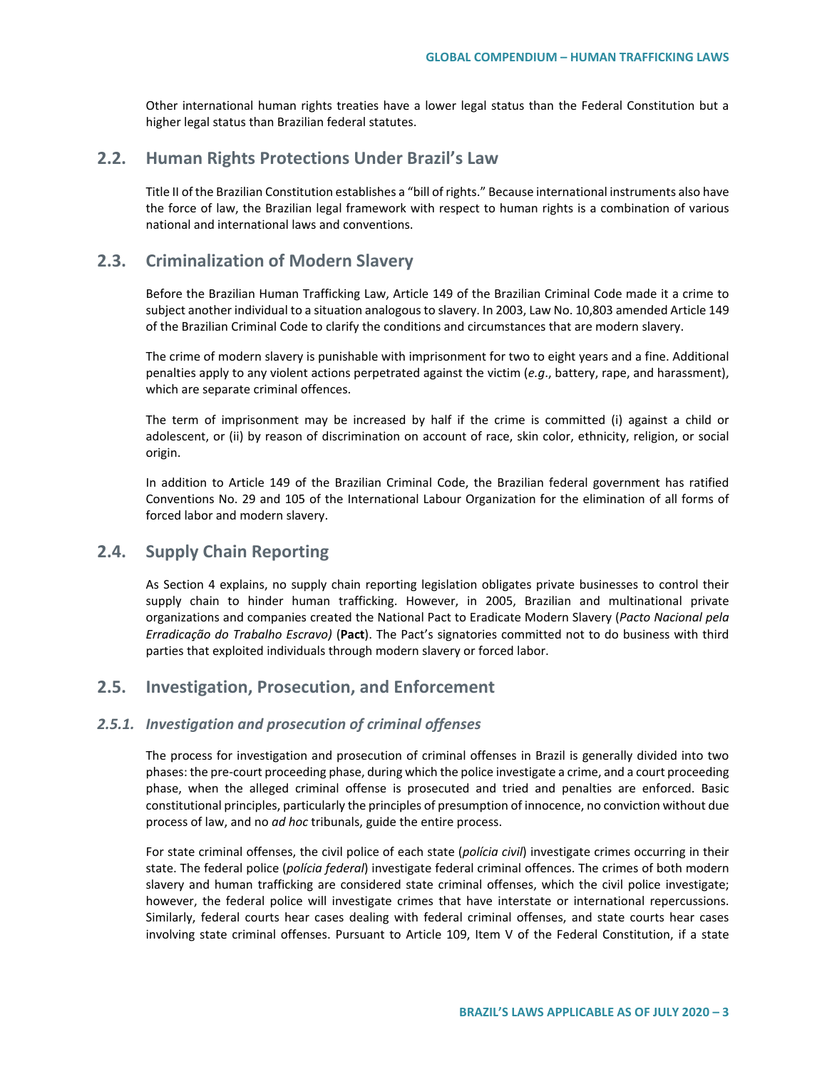Other international human rights treaties have a lower legal status than the Federal Constitution but a higher legal status than Brazilian federal statutes.

## **2.2. Human Rights Protections Under Brazil's Law**

Title II of the Brazilian Constitution establishes a "bill of rights." Because international instruments also have the force of law, the Brazilian legal framework with respect to human rights is a combination of various national and international laws and conventions.

## **2.3. Criminalization of Modern Slavery**

Before the Brazilian Human Trafficking Law, Article 149 of the Brazilian Criminal Code made it a crime to subject another individual to a situation analogous to slavery. In 2003, Law No. 10,803 amended Article 149 of the Brazilian Criminal Code to clarify the conditions and circumstances that are modern slavery.

The crime of modern slavery is punishable with imprisonment for two to eight years and a fine. Additional penalties apply to any violent actions perpetrated against the victim (*e.g*., battery, rape, and harassment), which are separate criminal offences.

The term of imprisonment may be increased by half if the crime is committed (i) against a child or adolescent, or (ii) by reason of discrimination on account of race, skin color, ethnicity, religion, or social origin.

In addition to Article 149 of the Brazilian Criminal Code, the Brazilian federal government has ratified Conventions No. 29 and 105 of the International Labour Organization for the elimination of all forms of forced labor and modern slavery.

## **2.4. Supply Chain Reporting**

As Section 4 explains, no supply chain reporting legislation obligates private businesses to control their supply chain to hinder human trafficking. However, in 2005, Brazilian and multinational private organizations and companies created the National Pact to Eradicate Modern Slavery (*Pacto Nacional pela Erradicação do Trabalho Escravo)* (**Pact**). The Pact's signatories committed not to do business with third parties that exploited individuals through modern slavery or forced labor.

## **2.5. Investigation, Prosecution, and Enforcement**

#### *2.5.1. Investigation and prosecution of criminal offenses*

The process for investigation and prosecution of criminal offenses in Brazil is generally divided into two phases: the pre-court proceeding phase, during which the police investigate a crime, and a court proceeding phase, when the alleged criminal offense is prosecuted and tried and penalties are enforced. Basic constitutional principles, particularly the principles of presumption of innocence, no conviction without due process of law, and no *ad hoc* tribunals, guide the entire process.

For state criminal offenses, the civil police of each state (*polícia civil*) investigate crimes occurring in their state. The federal police (*polícia federal*) investigate federal criminal offences. The crimes of both modern slavery and human trafficking are considered state criminal offenses, which the civil police investigate; however, the federal police will investigate crimes that have interstate or international repercussions. Similarly, federal courts hear cases dealing with federal criminal offenses, and state courts hear cases involving state criminal offenses. Pursuant to Article 109, Item V of the Federal Constitution, if a state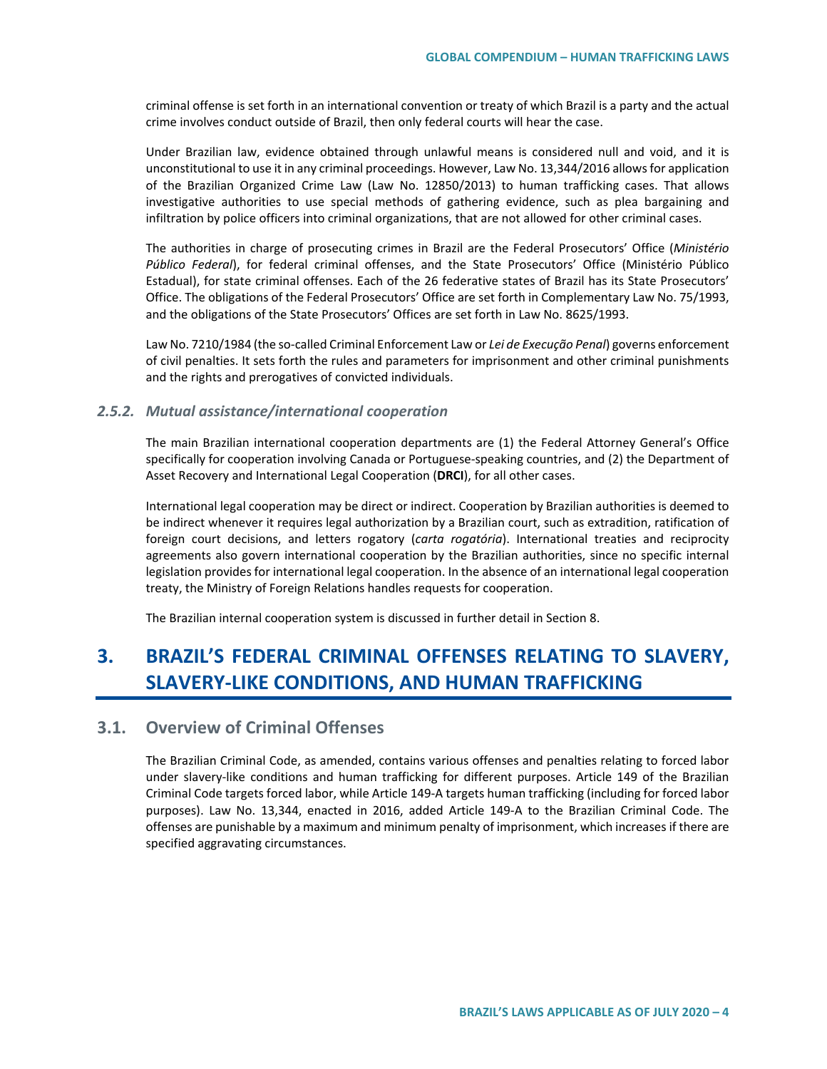criminal offense is set forth in an international convention or treaty of which Brazil is a party and the actual crime involves conduct outside of Brazil, then only federal courts will hear the case.

Under Brazilian law, evidence obtained through unlawful means is considered null and void, and it is unconstitutional to use it in any criminal proceedings. However, Law No. 13,344/2016 allows for application of the Brazilian Organized Crime Law (Law No. 12850/2013) to human trafficking cases. That allows investigative authorities to use special methods of gathering evidence, such as plea bargaining and infiltration by police officers into criminal organizations, that are not allowed for other criminal cases.

The authorities in charge of prosecuting crimes in Brazil are the Federal Prosecutors' Office (*Ministério Público Federal*), for federal criminal offenses, and the State Prosecutors' Office (Ministério Público Estadual), for state criminal offenses. Each of the 26 federative states of Brazil has its State Prosecutors' Office. The obligations of the Federal Prosecutors' Office are set forth in Complementary Law No. 75/1993, and the obligations of the State Prosecutors' Offices are set forth in Law No. 8625/1993.

Law No. 7210/1984 (the so-called Criminal Enforcement Law or *Lei de Execução Penal*) governs enforcement of civil penalties. It sets forth the rules and parameters for imprisonment and other criminal punishments and the rights and prerogatives of convicted individuals.

#### *2.5.2. Mutual assistance/international cooperation*

The main Brazilian international cooperation departments are (1) the Federal Attorney General's Office specifically for cooperation involving Canada or Portuguese-speaking countries, and (2) the Department of Asset Recovery and International Legal Cooperation (**DRCI**), for all other cases.

International legal cooperation may be direct or indirect. Cooperation by Brazilian authorities is deemed to be indirect whenever it requires legal authorization by a Brazilian court, such as extradition, ratification of foreign court decisions, and letters rogatory (*carta rogatória*). International treaties and reciprocity agreements also govern international cooperation by the Brazilian authorities, since no specific internal legislation provides for international legal cooperation. In the absence of an international legal cooperation treaty, the Ministry of Foreign Relations handles requests for cooperation.

The Brazilian internal cooperation system is discussed in further detail in Section 8.

# **3. BRAZIL'S FEDERAL CRIMINAL OFFENSES RELATING TO SLAVERY, SLAVERY-LIKE CONDITIONS, AND HUMAN TRAFFICKING**

## **3.1. Overview of Criminal Offenses**

The Brazilian Criminal Code, as amended, contains various offenses and penalties relating to forced labor under slavery-like conditions and human trafficking for different purposes. Article 149 of the Brazilian Criminal Code targets forced labor, while Article 149-A targets human trafficking (including for forced labor purposes). Law No. 13,344, enacted in 2016, added Article 149-A to the Brazilian Criminal Code. The offenses are punishable by a maximum and minimum penalty of imprisonment, which increases if there are specified aggravating circumstances.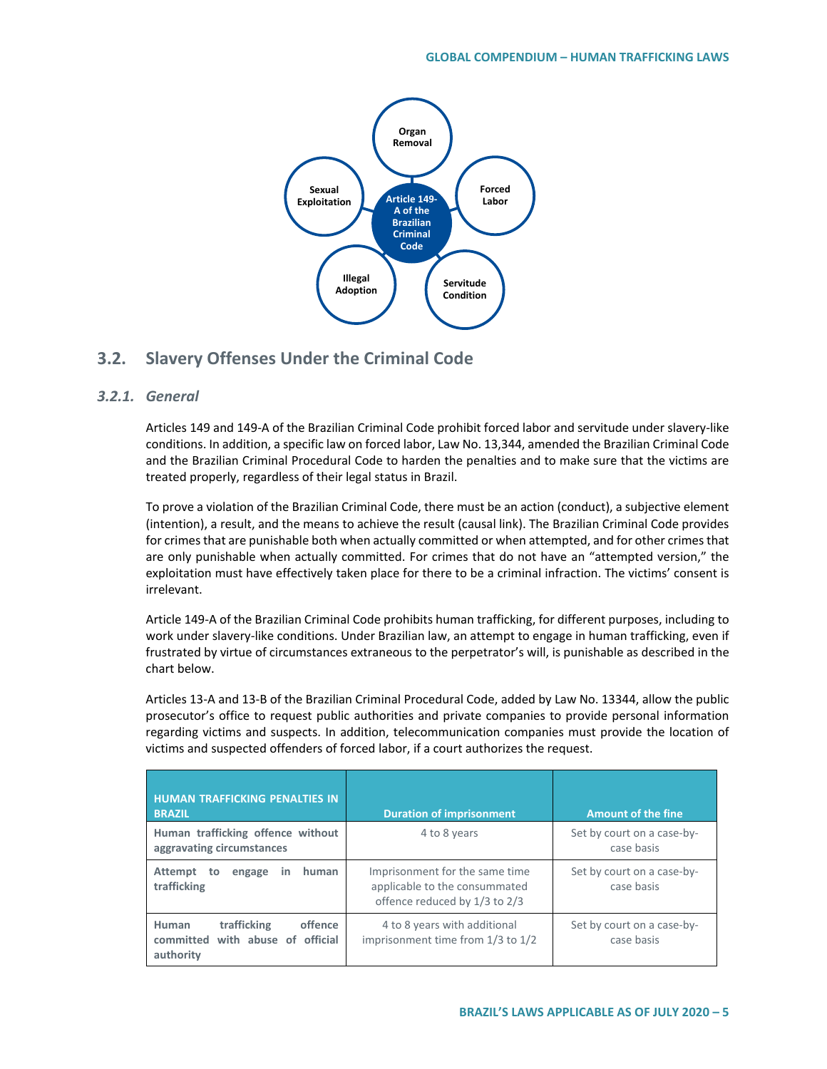

## **3.2. Slavery Offenses Under the Criminal Code**

### *3.2.1. General*

Articles 149 and 149-A of the Brazilian Criminal Code prohibit forced labor and servitude under slavery-like conditions. In addition, a specific law on forced labor, Law No. 13,344, amended the Brazilian Criminal Code and the Brazilian Criminal Procedural Code to harden the penalties and to make sure that the victims are treated properly, regardless of their legal status in Brazil.

To prove a violation of the Brazilian Criminal Code, there must be an action (conduct), a subjective element (intention), a result, and the means to achieve the result (causal link). The Brazilian Criminal Code provides for crimes that are punishable both when actually committed or when attempted, and for other crimes that are only punishable when actually committed. For crimes that do not have an "attempted version," the exploitation must have effectively taken place for there to be a criminal infraction. The victims' consent is irrelevant.

Article 149-A of the Brazilian Criminal Code prohibits human trafficking, for different purposes, including to work under slavery-like conditions. Under Brazilian law, an attempt to engage in human trafficking, even if frustrated by virtue of circumstances extraneous to the perpetrator's will, is punishable as described in the chart below.

Articles 13-A and 13-B of the Brazilian Criminal Procedural Code, added by Law No. 13344, allow the public prosecutor's office to request public authorities and private companies to provide personal information regarding victims and suspects. In addition, telecommunication companies must provide the location of victims and suspected offenders of forced labor, if a court authorizes the request.

| <b>HUMAN TRAFFICKING PENALTIES IN</b><br><b>BRAZIL</b>                           | <b>Duration of imprisonment</b>                                                                  | <b>Amount of the fine</b>                |
|----------------------------------------------------------------------------------|--------------------------------------------------------------------------------------------------|------------------------------------------|
| Human trafficking offence without<br>aggravating circumstances                   | 4 to 8 years                                                                                     | Set by court on a case-by-<br>case basis |
| human<br>Attempt<br>engage<br>to<br>in<br>trafficking                            | Imprisonment for the same time<br>applicable to the consummated<br>offence reduced by 1/3 to 2/3 | Set by court on a case-by-<br>case basis |
| offence<br>trafficking<br>Human<br>committed with abuse of official<br>authority | 4 to 8 years with additional<br>imprisonment time from 1/3 to 1/2                                | Set by court on a case-by-<br>case basis |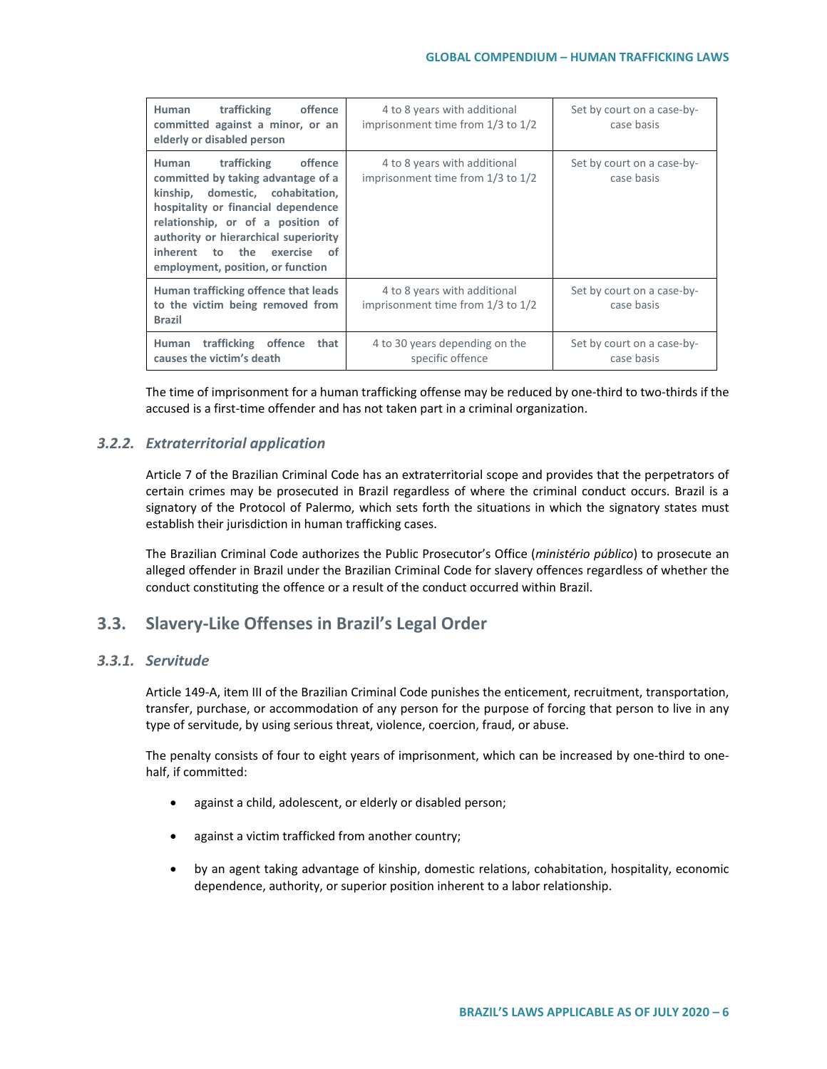| Human trafficking<br>offence<br>committed against a minor, or an<br>elderly or disabled person                                                                                                                                                                                                              | 4 to 8 years with additional<br>imprisonment time from $1/3$ to $1/2$ | Set by court on a case-by-<br>case basis |
|-------------------------------------------------------------------------------------------------------------------------------------------------------------------------------------------------------------------------------------------------------------------------------------------------------------|-----------------------------------------------------------------------|------------------------------------------|
| trafficking<br>offence<br>Human<br>committed by taking advantage of a<br>domestic, cohabitation,<br>kinship,<br>hospitality or financial dependence<br>relationship, or of a position of<br>authority or hierarchical superiority<br>inherent to the<br>exercise<br>of<br>employment, position, or function | 4 to 8 years with additional<br>imprisonment time from 1/3 to 1/2     | Set by court on a case-by-<br>case basis |
| Human trafficking offence that leads<br>to the victim being removed from<br><b>Brazil</b>                                                                                                                                                                                                                   | 4 to 8 years with additional<br>imprisonment time from 1/3 to 1/2     | Set by court on a case-by-<br>case basis |
| Human trafficking offence<br>that<br>causes the victim's death                                                                                                                                                                                                                                              | 4 to 30 years depending on the<br>specific offence                    | Set by court on a case-by-<br>case basis |

The time of imprisonment for a human trafficking offense may be reduced by one-third to two-thirds if the accused is a first-time offender and has not taken part in a criminal organization.

### *3.2.2. Extraterritorial application*

Article 7 of the Brazilian Criminal Code has an extraterritorial scope and provides that the perpetrators of certain crimes may be prosecuted in Brazil regardless of where the criminal conduct occurs. Brazil is a signatory of the Protocol of Palermo, which sets forth the situations in which the signatory states must establish their jurisdiction in human trafficking cases.

The Brazilian Criminal Code authorizes the Public Prosecutor's Office (*ministério público*) to prosecute an alleged offender in Brazil under the Brazilian Criminal Code for slavery offences regardless of whether the conduct constituting the offence or a result of the conduct occurred within Brazil.

## **3.3. Slavery-Like Offenses in Brazil's Legal Order**

### *3.3.1. Servitude*

Article 149-A, item III of the Brazilian Criminal Code punishes the enticement, recruitment, transportation, transfer, purchase, or accommodation of any person for the purpose of forcing that person to live in any type of servitude, by using serious threat, violence, coercion, fraud, or abuse.

The penalty consists of four to eight years of imprisonment, which can be increased by one-third to onehalf, if committed:

- against a child, adolescent, or elderly or disabled person;
- against a victim trafficked from another country;
- by an agent taking advantage of kinship, domestic relations, cohabitation, hospitality, economic dependence, authority, or superior position inherent to a labor relationship.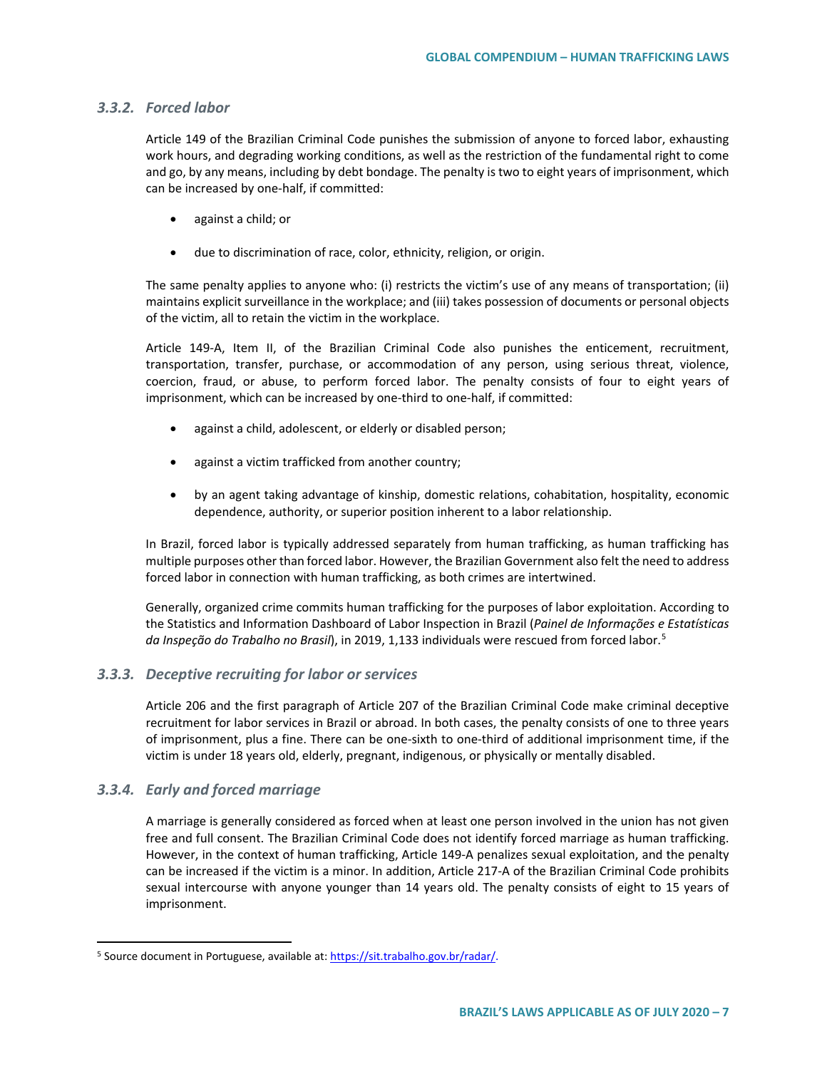#### *3.3.2. Forced labor*

Article 149 of the Brazilian Criminal Code punishes the submission of anyone to forced labor, exhausting work hours, and degrading working conditions, as well as the restriction of the fundamental right to come and go, by any means, including by debt bondage. The penalty is two to eight years of imprisonment, which can be increased by one-half, if committed:

- against a child; or
- due to discrimination of race, color, ethnicity, religion, or origin.

The same penalty applies to anyone who: (i) restricts the victim's use of any means of transportation; (ii) maintains explicit surveillance in the workplace; and (iii) takes possession of documents or personal objects of the victim, all to retain the victim in the workplace.

Article 149-A, Item II, of the Brazilian Criminal Code also punishes the enticement, recruitment, transportation, transfer, purchase, or accommodation of any person, using serious threat, violence, coercion, fraud, or abuse, to perform forced labor. The penalty consists of four to eight years of imprisonment, which can be increased by one-third to one-half, if committed:

- against a child, adolescent, or elderly or disabled person;
- against a victim trafficked from another country;
- by an agent taking advantage of kinship, domestic relations, cohabitation, hospitality, economic dependence, authority, or superior position inherent to a labor relationship.

In Brazil, forced labor is typically addressed separately from human trafficking, as human trafficking has multiple purposes other than forced labor. However, the Brazilian Government also felt the need to address forced labor in connection with human trafficking, as both crimes are intertwined.

Generally, organized crime commits human trafficking for the purposes of labor exploitation. According to the Statistics and Information Dashboard of Labor Inspection in Brazil (*Painel de Informações e Estatísticas*  da *Inspeção do Trabalho no Brasil*), in 2019, 1,133 individuals were rescued from forced labor.<sup>[5](#page-6-0)</sup>

### *3.3.3. Deceptive recruiting for labor or services*

Article 206 and the first paragraph of Article 207 of the Brazilian Criminal Code make criminal deceptive recruitment for labor services in Brazil or abroad. In both cases, the penalty consists of one to three years of imprisonment, plus a fine. There can be one-sixth to one-third of additional imprisonment time, if the victim is under 18 years old, elderly, pregnant, indigenous, or physically or mentally disabled.

### *3.3.4. Early and forced marriage*

A marriage is generally considered as forced when at least one person involved in the union has not given free and full consent. The Brazilian Criminal Code does not identify forced marriage as human trafficking. However, in the context of human trafficking, Article 149-A penalizes sexual exploitation, and the penalty can be increased if the victim is a minor. In addition, Article 217-A of the Brazilian Criminal Code prohibits sexual intercourse with anyone younger than 14 years old. The penalty consists of eight to 15 years of imprisonment.

<span id="page-6-0"></span><sup>&</sup>lt;sup>5</sup> Source document in Portuguese, available at[: https://sit.trabalho.gov.br/radar/.](https://sit.trabalho.gov.br/radar/)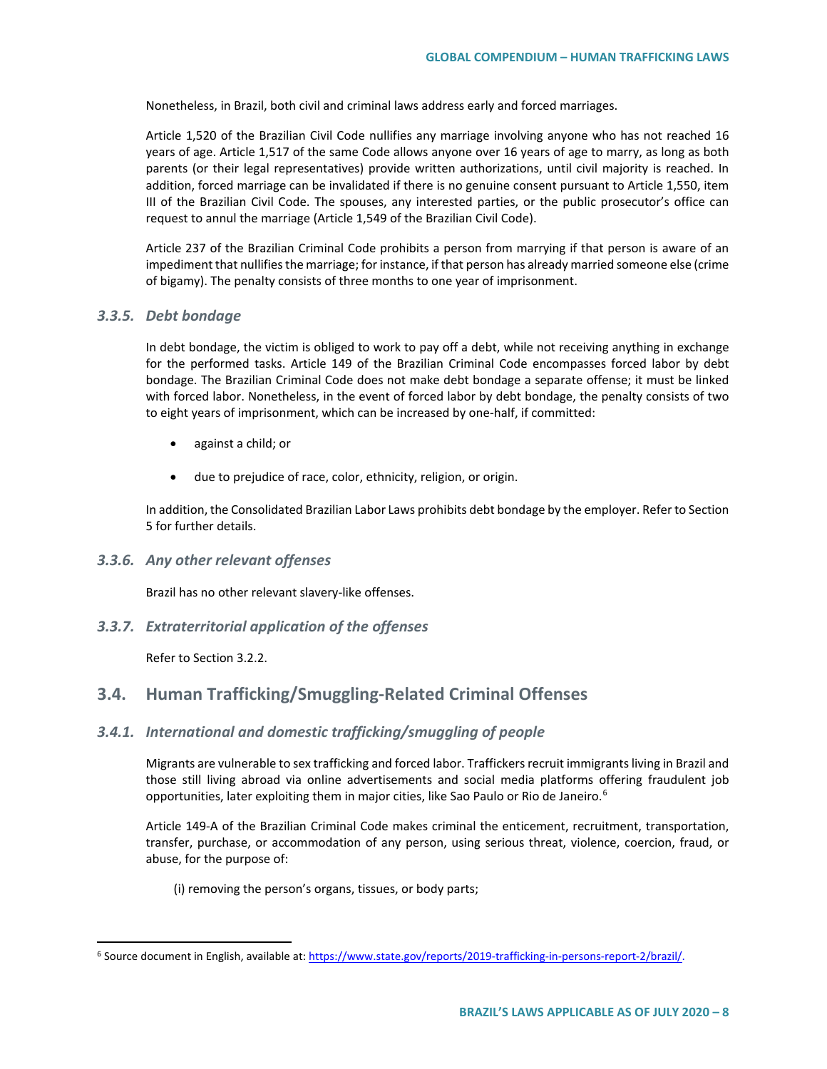Nonetheless, in Brazil, both civil and criminal laws address early and forced marriages.

Article 1,520 of the Brazilian Civil Code nullifies any marriage involving anyone who has not reached 16 years of age. Article 1,517 of the same Code allows anyone over 16 years of age to marry, as long as both parents (or their legal representatives) provide written authorizations, until civil majority is reached. In addition, forced marriage can be invalidated if there is no genuine consent pursuant to Article 1,550, item III of the Brazilian Civil Code. The spouses, any interested parties, or the public prosecutor's office can request to annul the marriage (Article 1,549 of the Brazilian Civil Code).

Article 237 of the Brazilian Criminal Code prohibits a person from marrying if that person is aware of an impediment that nullifies the marriage; for instance, if that person has already married someone else (crime of bigamy). The penalty consists of three months to one year of imprisonment.

#### *3.3.5. Debt bondage*

In debt bondage, the victim is obliged to work to pay off a debt, while not receiving anything in exchange for the performed tasks. Article 149 of the Brazilian Criminal Code encompasses forced labor by debt bondage. The Brazilian Criminal Code does not make debt bondage a separate offense; it must be linked with forced labor. Nonetheless, in the event of forced labor by debt bondage, the penalty consists of two to eight years of imprisonment, which can be increased by one-half, if committed:

- against a child; or
- due to prejudice of race, color, ethnicity, religion, or origin.

In addition, the Consolidated Brazilian Labor Laws prohibits debt bondage by the employer. Refer to Section 5 for further details.

### *3.3.6. Any other relevant offenses*

Brazil has no other relevant slavery-like offenses.

### *3.3.7. Extraterritorial application of the offenses*

Refer to Section 3.2.2.

## **3.4. Human Trafficking/Smuggling-Related Criminal Offenses**

### *3.4.1. International and domestic trafficking/smuggling of people*

Migrants are vulnerable to sex trafficking and forced labor. Traffickers recruit immigrants living in Brazil and those still living abroad via online advertisements and social media platforms offering fraudulent job opportunities, later exploiting them in major cities, like Sao Paulo or Rio de Janeiro.<sup>[6](#page-7-0)</sup>

Article 149-A of the Brazilian Criminal Code makes criminal the enticement, recruitment, transportation, transfer, purchase, or accommodation of any person, using serious threat, violence, coercion, fraud, or abuse, for the purpose of:

(i) removing the person's organs, tissues, or body parts;

<span id="page-7-0"></span><sup>&</sup>lt;sup>6</sup> Source document in English, available at[: https://www.state.gov/reports/2019-trafficking-in-persons-report-2/brazil/.](https://www.state.gov/reports/2019-trafficking-in-persons-report-2/brazil/)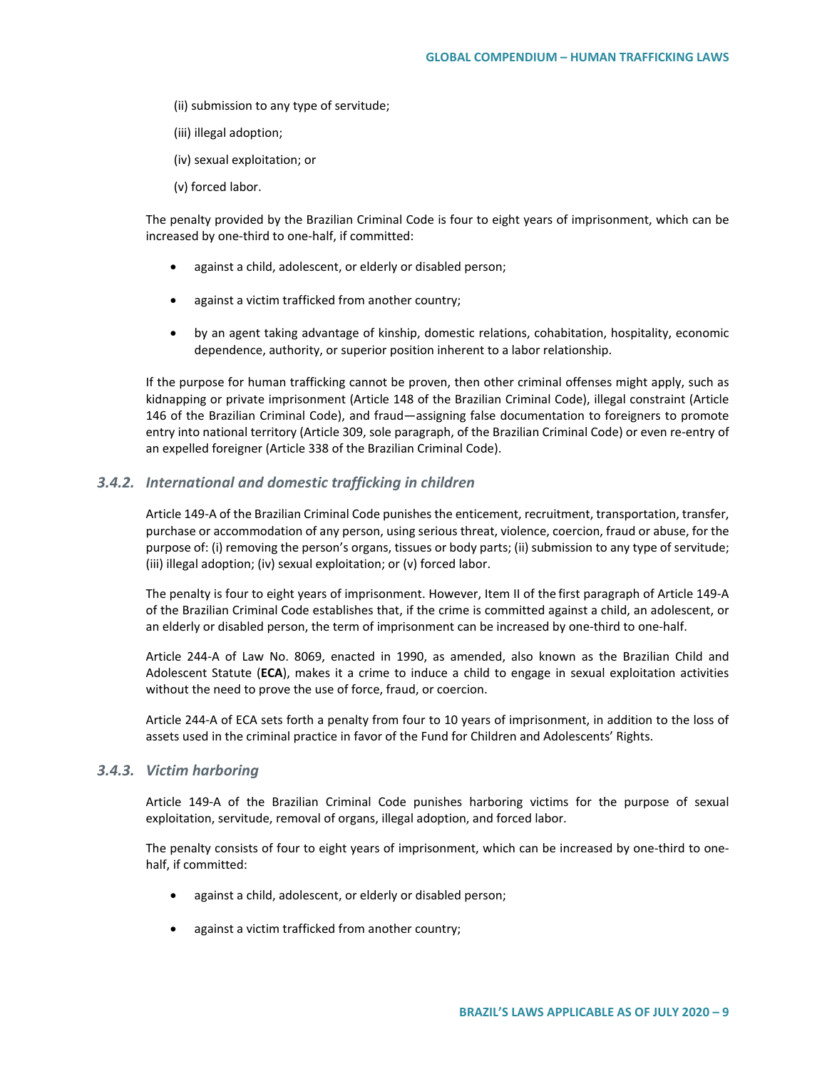- (ii) submission to any type of servitude;
- (iii) illegal adoption;
- (iv) sexual exploitation; or
- (v) forced labor.

The penalty provided by the Brazilian Criminal Code is four to eight years of imprisonment, which can be increased by one-third to one-half, if committed:

- against a child, adolescent, or elderly or disabled person;
- against a victim trafficked from another country;
- by an agent taking advantage of kinship, domestic relations, cohabitation, hospitality, economic dependence, authority, or superior position inherent to a labor relationship.

If the purpose for human trafficking cannot be proven, then other criminal offenses might apply, such as kidnapping or private imprisonment (Article 148 of the Brazilian Criminal Code), illegal constraint (Article 146 of the Brazilian Criminal Code), and fraud—assigning false documentation to foreigners to promote entry into national territory (Article 309, sole paragraph, of the Brazilian Criminal Code) or even re-entry of an expelled foreigner (Article 338 of the Brazilian Criminal Code).

#### *3.4.2. International and domestic trafficking in children*

Article 149-A of the Brazilian Criminal Code punishes the enticement, recruitment, transportation, transfer, purchase or accommodation of any person, using serious threat, violence, coercion, fraud or abuse, for the purpose of: (i) removing the person's organs, tissues or body parts; (ii) submission to any type of servitude; (iii) illegal adoption; (iv) sexual exploitation; or (v) forced labor.

The penalty is four to eight years of imprisonment. However, Item II of the first paragraph of Article 149-A of the Brazilian Criminal Code establishes that, if the crime is committed against a child, an adolescent, or an elderly or disabled person, the term of imprisonment can be increased by one-third to one-half.

Article 244-A of Law No. 8069, enacted in 1990, as amended, also known as the Brazilian Child and Adolescent Statute (**ECA**), makes it a crime to induce a child to engage in sexual exploitation activities without the need to prove the use of force, fraud, or coercion.

Article 244-A of ECA sets forth a penalty from four to 10 years of imprisonment, in addition to the loss of assets used in the criminal practice in favor of the Fund for Children and Adolescents' Rights.

#### *3.4.3. Victim harboring*

Article 149-A of the Brazilian Criminal Code punishes harboring victims for the purpose of sexual exploitation, servitude, removal of organs, illegal adoption, and forced labor.

The penalty consists of four to eight years of imprisonment, which can be increased by one-third to onehalf, if committed:

- against a child, adolescent, or elderly or disabled person;
- against a victim trafficked from another country;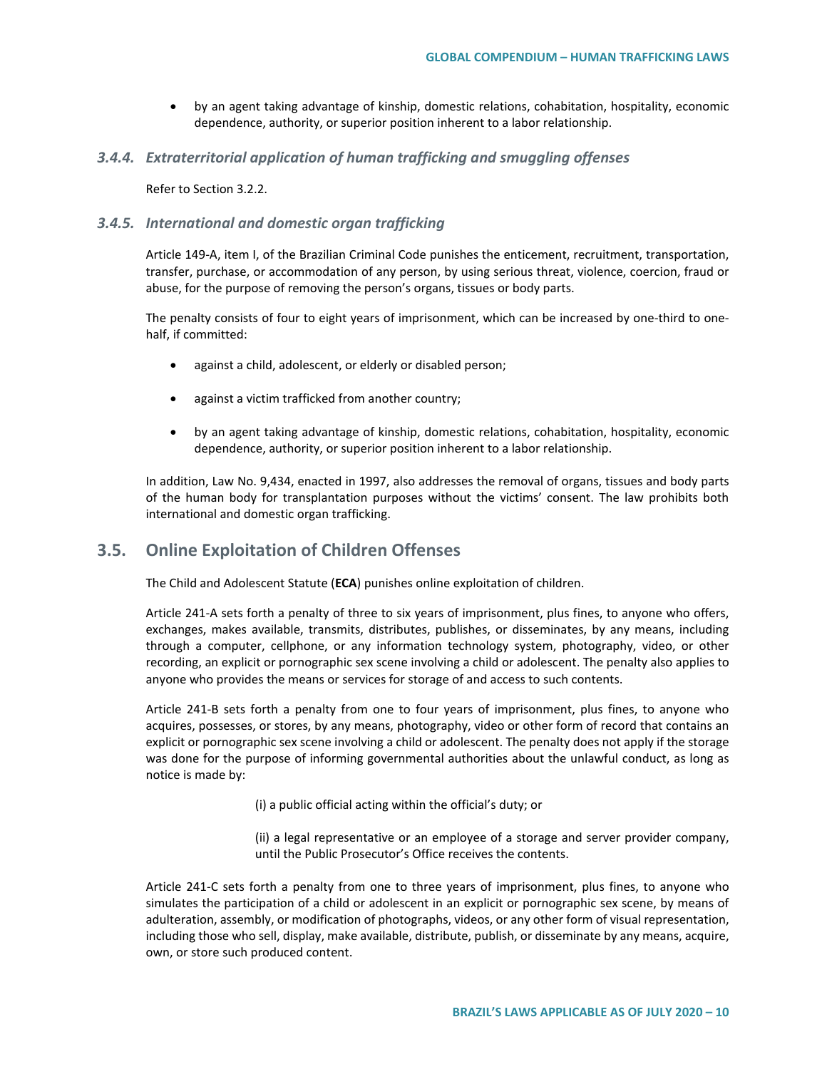• by an agent taking advantage of kinship, domestic relations, cohabitation, hospitality, economic dependence, authority, or superior position inherent to a labor relationship.

### *3.4.4. Extraterritorial application of human trafficking and smuggling offenses*

Refer to Section 3.2.2.

#### *3.4.5. International and domestic organ trafficking*

Article 149-A, item I, of the Brazilian Criminal Code punishes the enticement, recruitment, transportation, transfer, purchase, or accommodation of any person, by using serious threat, violence, coercion, fraud or abuse, for the purpose of removing the person's organs, tissues or body parts.

The penalty consists of four to eight years of imprisonment, which can be increased by one-third to onehalf, if committed:

- against a child, adolescent, or elderly or disabled person;
- against a victim trafficked from another country;
- by an agent taking advantage of kinship, domestic relations, cohabitation, hospitality, economic dependence, authority, or superior position inherent to a labor relationship.

In addition, Law No. 9,434, enacted in 1997, also addresses the removal of organs, tissues and body parts of the human body for transplantation purposes without the victims' consent. The law prohibits both international and domestic organ trafficking.

## **3.5. Online Exploitation of Children Offenses**

The Child and Adolescent Statute (**ECA**) punishes online exploitation of children.

Article 241-A sets forth a penalty of three to six years of imprisonment, plus fines, to anyone who offers, exchanges, makes available, transmits, distributes, publishes, or disseminates, by any means, including through a computer, cellphone, or any information technology system, photography, video, or other recording, an explicit or pornographic sex scene involving a child or adolescent. The penalty also applies to anyone who provides the means or services for storage of and access to such contents.

Article 241-B sets forth a penalty from one to four years of imprisonment, plus fines, to anyone who acquires, possesses, or stores, by any means, photography, video or other form of record that contains an explicit or pornographic sex scene involving a child or adolescent. The penalty does not apply if the storage was done for the purpose of informing governmental authorities about the unlawful conduct, as long as notice is made by:

(i) a public official acting within the official's duty; or

(ii) a legal representative or an employee of a storage and server provider company, until the Public Prosecutor's Office receives the contents.

Article 241-C sets forth a penalty from one to three years of imprisonment, plus fines, to anyone who simulates the participation of a child or adolescent in an explicit or pornographic sex scene, by means of adulteration, assembly, or modification of photographs, videos, or any other form of visual representation, including those who sell, display, make available, distribute, publish, or disseminate by any means, acquire, own, or store such produced content.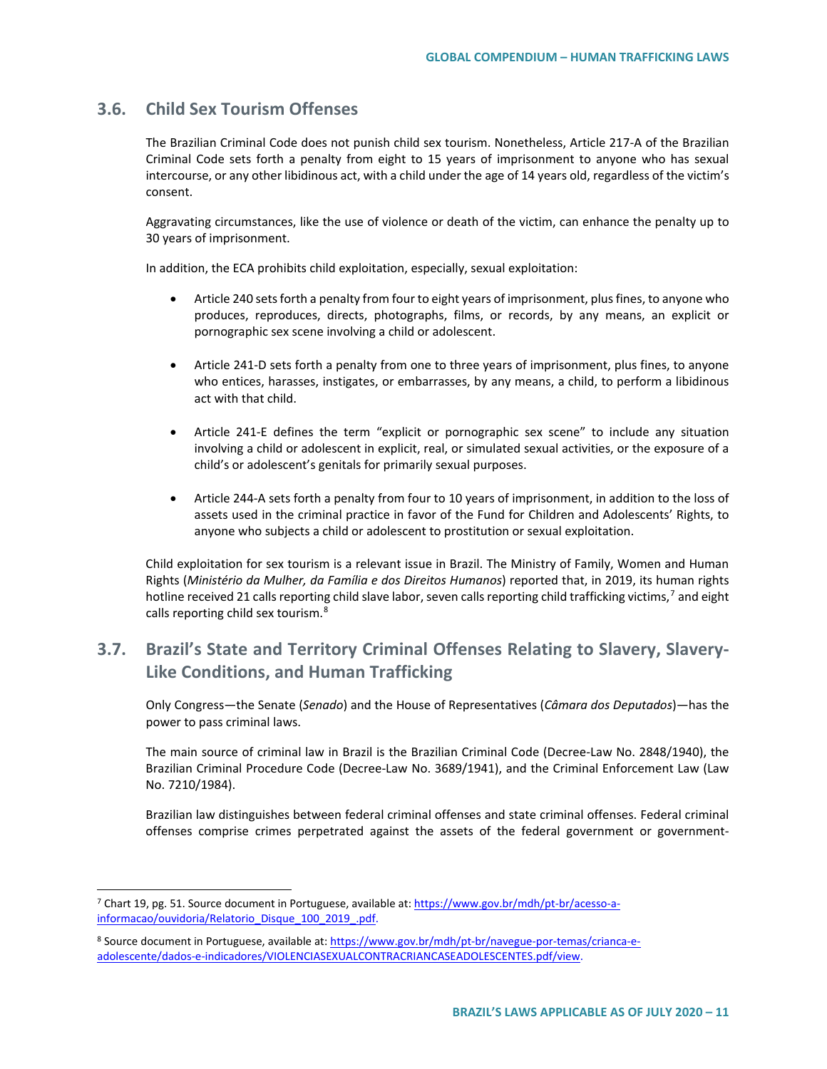## **3.6. Child Sex Tourism Offenses**

The Brazilian Criminal Code does not punish child sex tourism. Nonetheless, Article 217-A of the Brazilian Criminal Code sets forth a penalty from eight to 15 years of imprisonment to anyone who has sexual intercourse, or any other libidinous act, with a child under the age of 14 years old, regardless of the victim's consent.

Aggravating circumstances, like the use of violence or death of the victim, can enhance the penalty up to 30 years of imprisonment.

In addition, the ECA prohibits child exploitation, especially, sexual exploitation:

- Article 240 sets forth a penalty from four to eight years of imprisonment, plus fines, to anyone who produces, reproduces, directs, photographs, films, or records, by any means, an explicit or pornographic sex scene involving a child or adolescent.
- Article 241-D sets forth a penalty from one to three years of imprisonment, plus fines, to anyone who entices, harasses, instigates, or embarrasses, by any means, a child, to perform a libidinous act with that child.
- Article 241-E defines the term "explicit or pornographic sex scene" to include any situation involving a child or adolescent in explicit, real, or simulated sexual activities, or the exposure of a child's or adolescent's genitals for primarily sexual purposes.
- Article 244-A sets forth a penalty from four to 10 years of imprisonment, in addition to the loss of assets used in the criminal practice in favor of the Fund for Children and Adolescents' Rights, to anyone who subjects a child or adolescent to prostitution or sexual exploitation.

Child exploitation for sex tourism is a relevant issue in Brazil. The Ministry of Family, Women and Human Rights (*Ministério da Mulher, da Família e dos Direitos Humanos*) reported that, in 2019, its human rights hotline received 21 calls reporting child slave labor, seven calls reporting child trafficking victims,<sup>[7](#page-10-0)</sup> and eight calls reporting child sex tourism.[8](#page-10-1)

## **3.7. Brazil's State and Territory Criminal Offenses Relating to Slavery, Slavery-Like Conditions, and Human Trafficking**

Only Congress—the Senate (*Senado*) and the House of Representatives (*Câmara dos Deputados*)—has the power to pass criminal laws.

The main source of criminal law in Brazil is the Brazilian Criminal Code (Decree-Law No. 2848/1940), the Brazilian Criminal Procedure Code (Decree-Law No. 3689/1941), and the Criminal Enforcement Law (Law No. 7210/1984).

Brazilian law distinguishes between federal criminal offenses and state criminal offenses. Federal criminal offenses comprise crimes perpetrated against the assets of the federal government or government-

<span id="page-10-0"></span> <sup>7</sup> Chart 19, pg. 51. Source document in Portuguese, available at: [https://www.gov.br/mdh/pt-br/acesso-a](https://www.gov.br/mdh/pt-br/acesso-a-informacao/ouvidoria/Relatorio_Disque_100_2019_.pdf)[informacao/ouvidoria/Relatorio\\_Disque\\_100\\_2019\\_.pdf.](https://www.gov.br/mdh/pt-br/acesso-a-informacao/ouvidoria/Relatorio_Disque_100_2019_.pdf)

<span id="page-10-1"></span><sup>8</sup> Source document in Portuguese, available at[: https://www.gov.br/mdh/pt-br/navegue-por-temas/crianca-e](https://www.gov.br/mdh/pt-br/navegue-por-temas/crianca-e-adolescente/dados-e-indicadores/VIOLENCIASEXUALCONTRACRIANCASEADOLESCENTES.pdf/view)[adolescente/dados-e-indicadores/VIOLENCIASEXUALCONTRACRIANCASEADOLESCENTES.pdf/view.](https://www.gov.br/mdh/pt-br/navegue-por-temas/crianca-e-adolescente/dados-e-indicadores/VIOLENCIASEXUALCONTRACRIANCASEADOLESCENTES.pdf/view)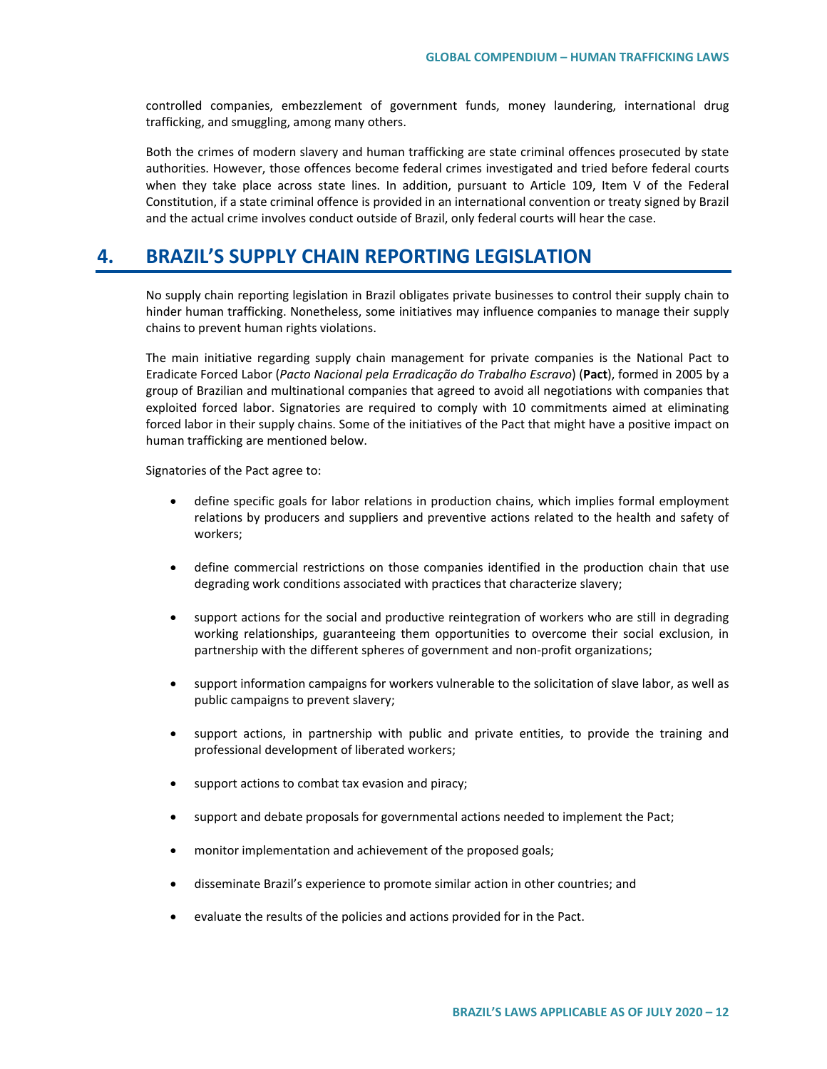controlled companies, embezzlement of government funds, money laundering, international drug trafficking, and smuggling, among many others.

Both the crimes of modern slavery and human trafficking are state criminal offences prosecuted by state authorities. However, those offences become federal crimes investigated and tried before federal courts when they take place across state lines. In addition, pursuant to Article 109, Item V of the Federal Constitution, if a state criminal offence is provided in an international convention or treaty signed by Brazil and the actual crime involves conduct outside of Brazil, only federal courts will hear the case.

## **4. BRAZIL'S SUPPLY CHAIN REPORTING LEGISLATION**

No supply chain reporting legislation in Brazil obligates private businesses to control their supply chain to hinder human trafficking. Nonetheless, some initiatives may influence companies to manage their supply chains to prevent human rights violations.

The main initiative regarding supply chain management for private companies is the National Pact to Eradicate Forced Labor (*Pacto Nacional pela Erradicação do Trabalho Escravo*) (**Pact**), formed in 2005 by a group of Brazilian and multinational companies that agreed to avoid all negotiations with companies that exploited forced labor. Signatories are required to comply with 10 commitments aimed at eliminating forced labor in their supply chains. Some of the initiatives of the Pact that might have a positive impact on human trafficking are mentioned below.

Signatories of the Pact agree to:

- define specific goals for labor relations in production chains, which implies formal employment relations by producers and suppliers and preventive actions related to the health and safety of workers;
- define commercial restrictions on those companies identified in the production chain that use degrading work conditions associated with practices that characterize slavery;
- support actions for the social and productive reintegration of workers who are still in degrading working relationships, guaranteeing them opportunities to overcome their social exclusion, in partnership with the different spheres of government and non-profit organizations;
- support information campaigns for workers vulnerable to the solicitation of slave labor, as well as public campaigns to prevent slavery;
- support actions, in partnership with public and private entities, to provide the training and professional development of liberated workers;
- support actions to combat tax evasion and piracy;
- support and debate proposals for governmental actions needed to implement the Pact;
- monitor implementation and achievement of the proposed goals;
- disseminate Brazil's experience to promote similar action in other countries; and
- evaluate the results of the policies and actions provided for in the Pact.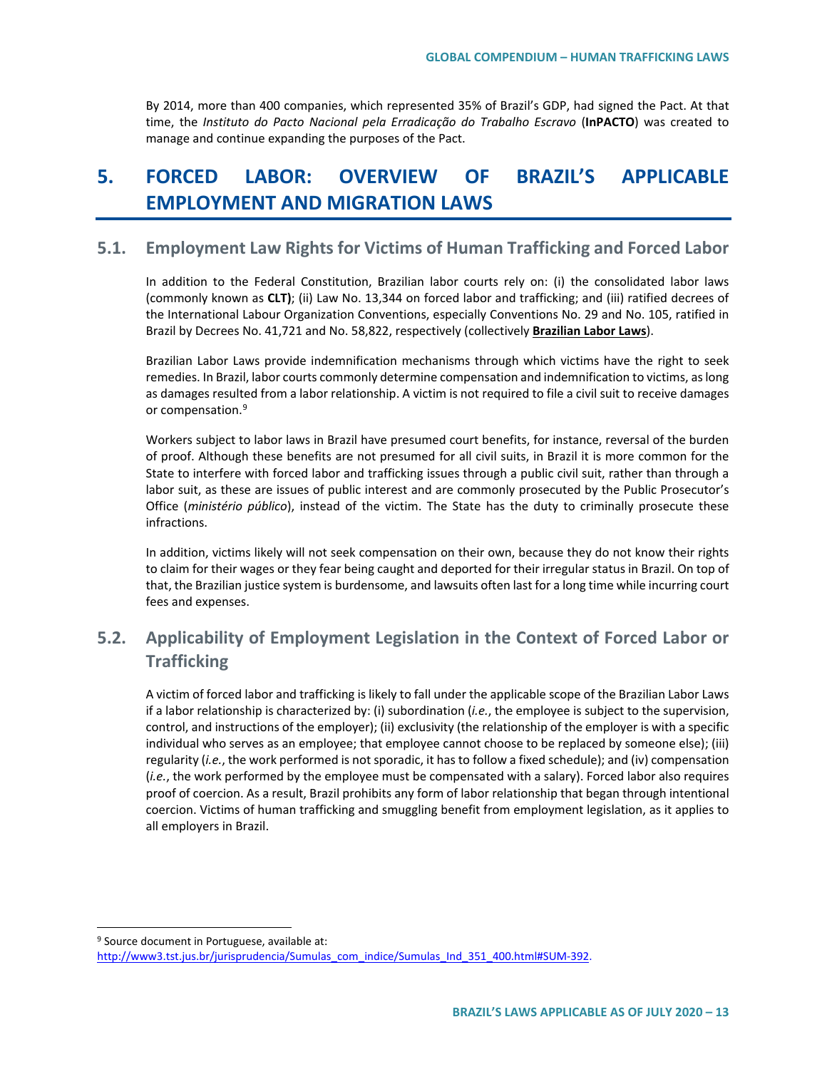By 2014, more than 400 companies, which represented 35% of Brazil's GDP, had signed the Pact. At that time, the *Instituto do Pacto Nacional pela Erradicação do Trabalho Escravo* (**InPACTO**) was created to manage and continue expanding the purposes of the Pact.

# **5. FORCED LABOR: OVERVIEW OF BRAZIL'S APPLICABLE EMPLOYMENT AND MIGRATION LAWS**

## **5.1. Employment Law Rights for Victims of Human Trafficking and Forced Labor**

In addition to the Federal Constitution, Brazilian labor courts rely on: (i) the consolidated labor laws (commonly known as **CLT)**; (ii) Law No. 13,344 on forced labor and trafficking; and (iii) ratified decrees of the International Labour Organization Conventions, especially Conventions No. 29 and No. 105, ratified in Brazil by Decrees No. 41,721 and No. 58,822, respectively (collectively **Brazilian Labor Laws**).

Brazilian Labor Laws provide indemnification mechanisms through which victims have the right to seek remedies. In Brazil, labor courts commonly determine compensation and indemnification to victims, as long as damages resulted from a labor relationship. A victim is not required to file a civil suit to receive damages or compensation.<sup>[9](#page-12-0)</sup>

Workers subject to labor laws in Brazil have presumed court benefits, for instance, reversal of the burden of proof. Although these benefits are not presumed for all civil suits, in Brazil it is more common for the State to interfere with forced labor and trafficking issues through a public civil suit, rather than through a labor suit, as these are issues of public interest and are commonly prosecuted by the Public Prosecutor's Office (*ministério público*), instead of the victim. The State has the duty to criminally prosecute these infractions.

In addition, victims likely will not seek compensation on their own, because they do not know their rights to claim for their wages or they fear being caught and deported for their irregular status in Brazil. On top of that, the Brazilian justice system is burdensome, and lawsuits often last for a long time while incurring court fees and expenses.

## **5.2. Applicability of Employment Legislation in the Context of Forced Labor or Trafficking**

A victim of forced labor and trafficking is likely to fall under the applicable scope of the Brazilian Labor Laws if a labor relationship is characterized by: (i) subordination (*i.e.*, the employee is subject to the supervision, control, and instructions of the employer); (ii) exclusivity (the relationship of the employer is with a specific individual who serves as an employee; that employee cannot choose to be replaced by someone else); (iii) regularity (*i.e.*, the work performed is not sporadic, it has to follow a fixed schedule); and (iv) compensation (*i.e.*, the work performed by the employee must be compensated with a salary). Forced labor also requires proof of coercion. As a result, Brazil prohibits any form of labor relationship that began through intentional coercion. Victims of human trafficking and smuggling benefit from employment legislation, as it applies to all employers in Brazil.

<span id="page-12-0"></span><sup>&</sup>lt;sup>9</sup> Source document in Portuguese, available at:

[http://www3.tst.jus.br/jurisprudencia/Sumulas\\_com\\_indice/Sumulas\\_Ind\\_351\\_400.html#SUM-392.](http://www3.tst.jus.br/jurisprudencia/Sumulas_com_indice/Sumulas_Ind_351_400.html#SUM-392)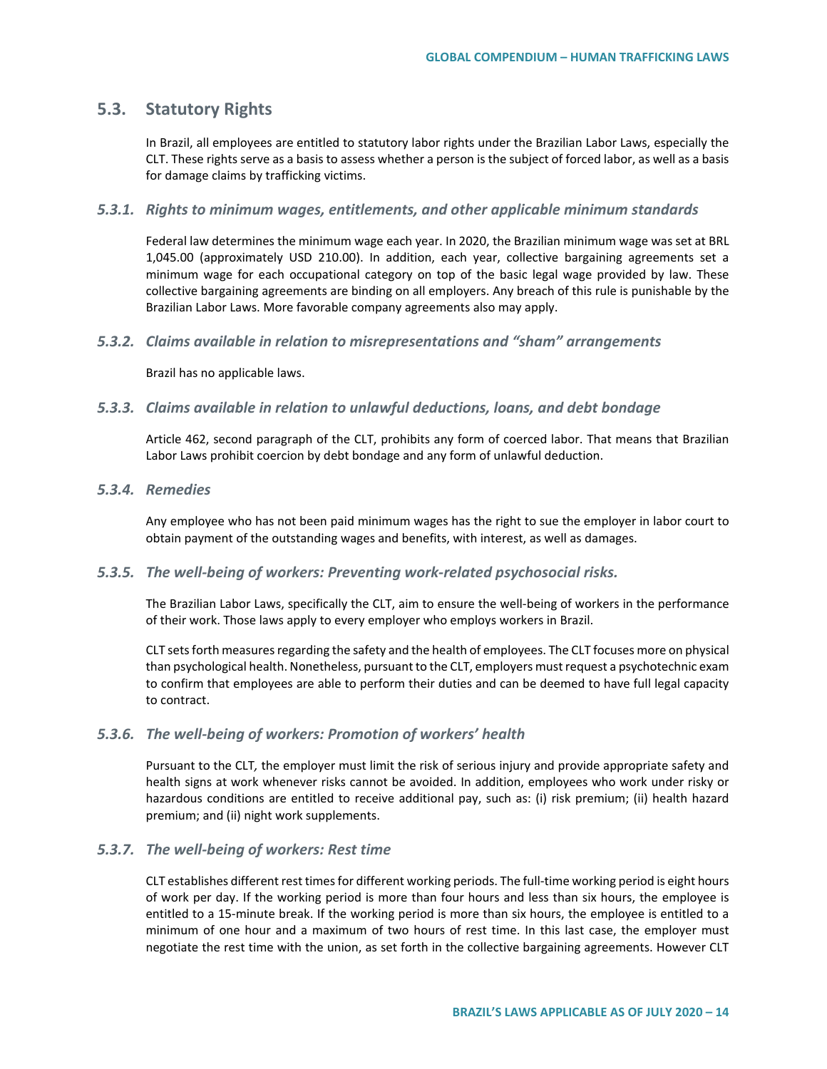## **5.3. Statutory Rights**

In Brazil, all employees are entitled to statutory labor rights under the Brazilian Labor Laws, especially the CLT. These rights serve as a basis to assess whether a person is the subject of forced labor, as well as a basis for damage claims by trafficking victims.

### *5.3.1. Rights to minimum wages, entitlements, and other applicable minimum standards*

Federal law determines the minimum wage each year. In 2020, the Brazilian minimum wage was set at BRL 1,045.00 (approximately USD 210.00). In addition, each year, collective bargaining agreements set a minimum wage for each occupational category on top of the basic legal wage provided by law. These collective bargaining agreements are binding on all employers. Any breach of this rule is punishable by the Brazilian Labor Laws. More favorable company agreements also may apply.

### *5.3.2. Claims available in relation to misrepresentations and "sham" arrangements*

Brazil has no applicable laws.

### *5.3.3. Claims available in relation to unlawful deductions, loans, and debt bondage*

Article 462, second paragraph of the CLT, prohibits any form of coerced labor. That means that Brazilian Labor Laws prohibit coercion by debt bondage and any form of unlawful deduction.

### *5.3.4. Remedies*

Any employee who has not been paid minimum wages has the right to sue the employer in labor court to obtain payment of the outstanding wages and benefits, with interest, as well as damages.

### *5.3.5. The well-being of workers: Preventing work-related psychosocial risks.*

The Brazilian Labor Laws, specifically the CLT, aim to ensure the well-being of workers in the performance of their work. Those laws apply to every employer who employs workers in Brazil.

CLT sets forth measures regarding the safety and the health of employees. The CLT focuses more on physical than psychological health. Nonetheless, pursuant to the CLT, employers must request a psychotechnic exam to confirm that employees are able to perform their duties and can be deemed to have full legal capacity to contract.

### *5.3.6. The well-being of workers: Promotion of workers' health*

Pursuant to the CLT*,* the employer must limit the risk of serious injury and provide appropriate safety and health signs at work whenever risks cannot be avoided. In addition, employees who work under risky or hazardous conditions are entitled to receive additional pay, such as: (i) risk premium; (ii) health hazard premium; and (ii) night work supplements.

### *5.3.7. The well-being of workers: Rest time*

CLT establishes different rest times for different working periods. The full-time working period is eight hours of work per day. If the working period is more than four hours and less than six hours, the employee is entitled to a 15-minute break. If the working period is more than six hours, the employee is entitled to a minimum of one hour and a maximum of two hours of rest time. In this last case, the employer must negotiate the rest time with the union, as set forth in the collective bargaining agreements. However CLT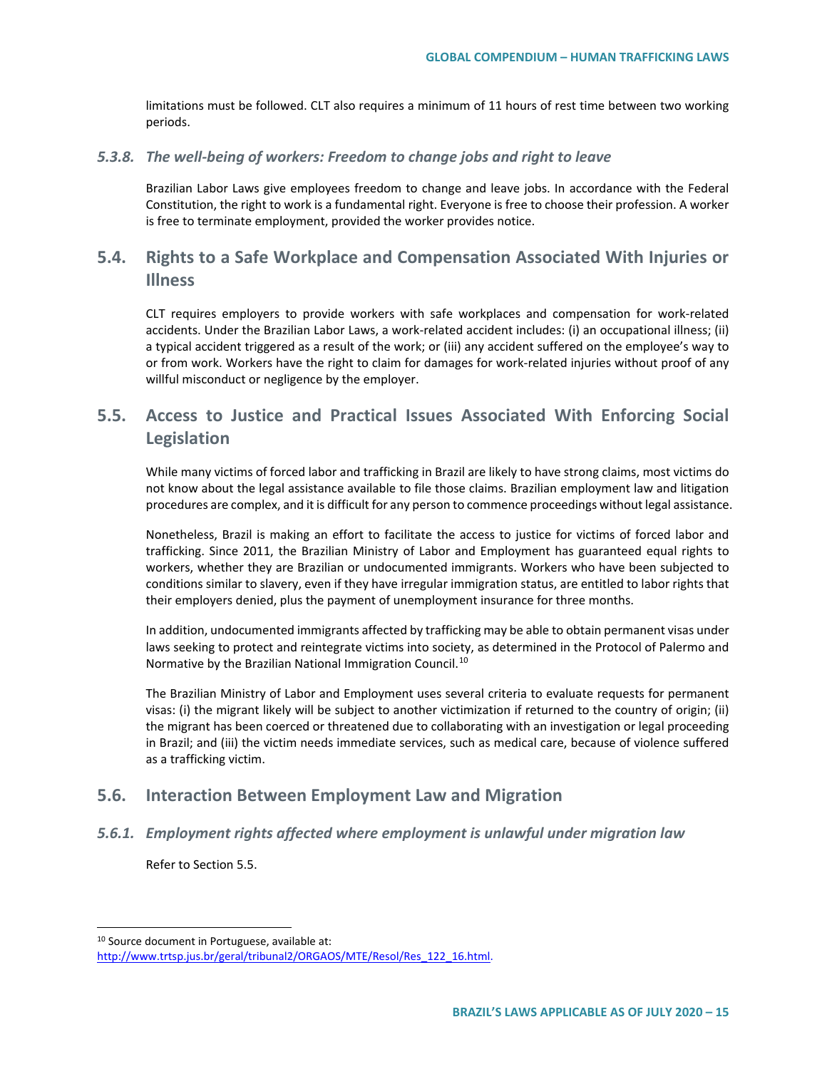limitations must be followed. CLT also requires a minimum of 11 hours of rest time between two working periods.

#### *5.3.8. The well-being of workers: Freedom to change jobs and right to leave*

Brazilian Labor Laws give employees freedom to change and leave jobs. In accordance with the Federal Constitution, the right to work is a fundamental right. Everyone is free to choose their profession. A worker is free to terminate employment, provided the worker provides notice.

## **5.4. Rights to a Safe Workplace and Compensation Associated With Injuries or Illness**

CLT requires employers to provide workers with safe workplaces and compensation for work-related accidents. Under the Brazilian Labor Laws, a work-related accident includes: (i) an occupational illness; (ii) a typical accident triggered as a result of the work; or (iii) any accident suffered on the employee's way to or from work. Workers have the right to claim for damages for work-related injuries without proof of any willful misconduct or negligence by the employer.

## **5.5. Access to Justice and Practical Issues Associated With Enforcing Social Legislation**

While many victims of forced labor and trafficking in Brazil are likely to have strong claims, most victims do not know about the legal assistance available to file those claims. Brazilian employment law and litigation procedures are complex, and it is difficult for any person to commence proceedings without legal assistance.

Nonetheless, Brazil is making an effort to facilitate the access to justice for victims of forced labor and trafficking. Since 2011, the Brazilian Ministry of Labor and Employment has guaranteed equal rights to workers, whether they are Brazilian or undocumented immigrants. Workers who have been subjected to conditions similar to slavery, even if they have irregular immigration status, are entitled to labor rights that their employers denied, plus the payment of unemployment insurance for three months.

In addition, undocumented immigrants affected by trafficking may be able to obtain permanent visas under laws seeking to protect and reintegrate victims into society, as determined in the Protocol of Palermo and Normative by the Brazilian National Immigration Council.<sup>[10](#page-14-0)</sup>

The Brazilian Ministry of Labor and Employment uses several criteria to evaluate requests for permanent visas: (i) the migrant likely will be subject to another victimization if returned to the country of origin; (ii) the migrant has been coerced or threatened due to collaborating with an investigation or legal proceeding in Brazil; and (iii) the victim needs immediate services, such as medical care, because of violence suffered as a trafficking victim.

## **5.6. Interaction Between Employment Law and Migration**

### *5.6.1. Employment rights affected where employment is unlawful under migration law*

Refer to Section 5.5.

<span id="page-14-0"></span> <sup>10</sup> Source document in Portuguese, available at:

[http://www.trtsp.jus.br/geral/tribunal2/ORGAOS/MTE/Resol/Res\\_122\\_16.html.](http://www.trtsp.jus.br/geral/tribunal2/ORGAOS/MTE/Resol/Res_122_16.html)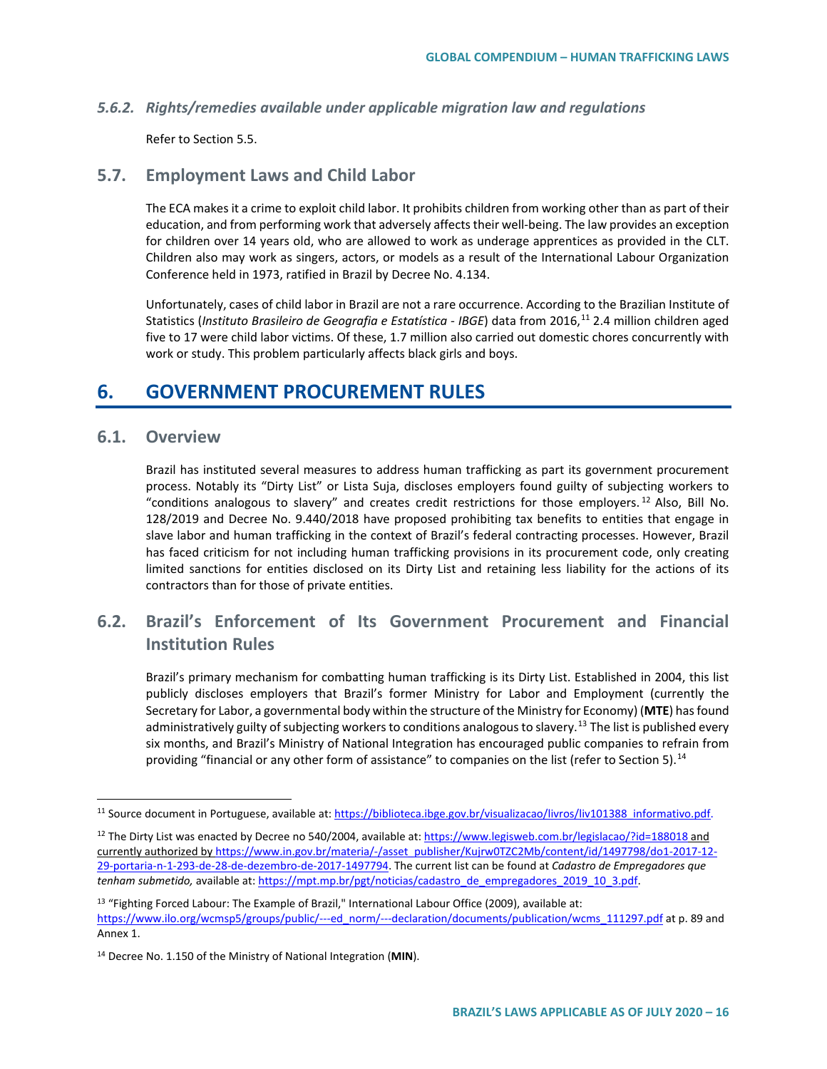### *5.6.2. Rights/remedies available under applicable migration law and regulations*

Refer to Section 5.5.

### **5.7. Employment Laws and Child Labor**

The ECA makes it a crime to exploit child labor. It prohibits children from working other than as part of their education, and from performing work that adversely affects their well-being. The law provides an exception for children over 14 years old, who are allowed to work as underage apprentices as provided in the CLT. Children also may work as singers, actors, or models as a result of the International Labour Organization Conference held in 1973, ratified in Brazil by Decree No. 4.134.

Unfortunately, cases of child labor in Brazil are not a rare occurrence. According to the Brazilian Institute of Statistics (*Instituto Brasileiro de Geografia e Estatística - IBGE*) data from 2016,[11](#page-15-0) 2.4 million children aged five to 17 were child labor victims. Of these, 1.7 million also carried out domestic chores concurrently with work or study. This problem particularly affects black girls and boys.

## **6. GOVERNMENT PROCUREMENT RULES**

### **6.1. Overview**

Brazil has instituted several measures to address human trafficking as part its government procurement process. Notably its "Dirty List" or Lista Suja, discloses employers found guilty of subjecting workers to "conditions analogous to slavery" and creates credit restrictions for those employers.<sup>[12](#page-15-1)</sup> Also, Bill No. 128/2019 and Decree No. 9.440/2018 have proposed prohibiting tax benefits to entities that engage in slave labor and human trafficking in the context of Brazil's federal contracting processes. However, Brazil has faced criticism for not including human trafficking provisions in its procurement code, only creating limited sanctions for entities disclosed on its Dirty List and retaining less liability for the actions of its contractors than for those of private entities.

## **6.2. Brazil's Enforcement of Its Government Procurement and Financial Institution Rules**

Brazil's primary mechanism for combatting human trafficking is its Dirty List. Established in 2004, this list publicly discloses employers that Brazil's former Ministry for Labor and Employment (currently the Secretary for Labor, a governmental body within the structure of the Ministry for Economy) (**MTE**) has found administratively guilty of subjecting workers to conditions analogous to slavery.<sup>[13](#page-15-2)</sup> The list is published every six months, and Brazil's Ministry of National Integration has encouraged public companies to refrain from providing "financial or any other form of assistance" to companies on the list (refer to Section 5).<sup>[14](#page-15-3)</sup>

<span id="page-15-0"></span><sup>&</sup>lt;sup>11</sup> Source document in Portuguese, available at[: https://biblioteca.ibge.gov.br/visualizacao/livros/liv101388\\_informativo.pdf.](https://biblioteca.ibge.gov.br/visualizacao/livros/liv101388_informativo.pdf)

<span id="page-15-1"></span><sup>&</sup>lt;sup>12</sup> The Dirty List was enacted by Decree no 540/2004, available at[: https://www.legisweb.com.br/legislacao/?id=188018](https://www.legisweb.com.br/legislacao/?id=188018) and currently authorized b[y https://www.in.gov.br/materia/-/asset\\_publisher/Kujrw0TZC2Mb/content/id/1497798/do1-2017-12-](https://www.in.gov.br/materia/-/asset_publisher/Kujrw0TZC2Mb/content/id/1497798/do1-2017-12-29-portaria-n-1-293-de-28-de-dezembro-de-2017-1497794) [29-portaria-n-1-293-de-28-de-dezembro-de-2017-1497794.](https://www.in.gov.br/materia/-/asset_publisher/Kujrw0TZC2Mb/content/id/1497798/do1-2017-12-29-portaria-n-1-293-de-28-de-dezembro-de-2017-1497794) The current list can be found at *Cadastro de Empregadores que tenham submetido,* available at[: https://mpt.mp.br/pgt/noticias/cadastro\\_de\\_empregadores\\_2019\\_10\\_3.pdf.](https://mpt.mp.br/pgt/noticias/cadastro_de_empregadores_2019_10_3.pdf)

<span id="page-15-2"></span><sup>&</sup>lt;sup>13</sup> "Fighting Forced Labour: The Example of Brazil," International Labour Office (2009), available at: https://www.ilo.org/wcmsp5/groups/public/---ed\_norm/---declaration/documents/publication/wcms\_111297.pdf at p. 89 and Annex 1.

<span id="page-15-3"></span><sup>14</sup> Decree No. 1.150 of the Ministry of National Integration (**MIN**).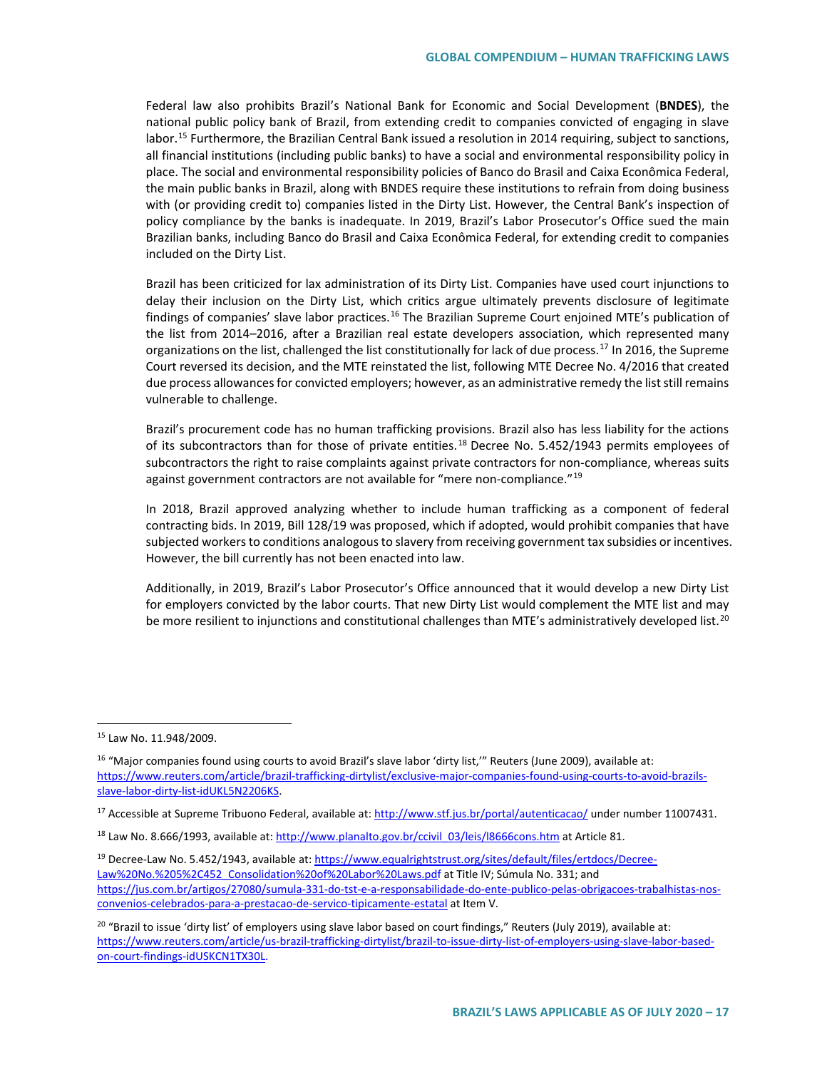Federal law also prohibits Brazil's National Bank for Economic and Social Development (**BNDES**), the national public policy bank of Brazil, from extending credit to companies convicted of engaging in slave labor.<sup>[15](#page-16-0)</sup> Furthermore, the Brazilian Central Bank issued a resolution in 2014 requiring, subject to sanctions, all financial institutions (including public banks) to have a social and environmental responsibility policy in place. The social and environmental responsibility policies of Banco do Brasil and Caixa Econômica Federal, the main public banks in Brazil, along with BNDES require these institutions to refrain from doing business with (or providing credit to) companies listed in the Dirty List. However, the Central Bank's inspection of policy compliance by the banks is inadequate. In 2019, Brazil's Labor Prosecutor's Office sued the main Brazilian banks, including Banco do Brasil and Caixa Econômica Federal, for extending credit to companies included on the Dirty List.

Brazil has been criticized for lax administration of its Dirty List. Companies have used court injunctions to delay their inclusion on the Dirty List, which critics argue ultimately prevents disclosure of legitimate findings of companies' slave labor practices.<sup>[16](#page-16-1)</sup> The Brazilian Supreme Court enjoined MTE's publication of the list from 2014–2016, after a Brazilian real estate developers association, which represented many organizations on the list, challenged the list constitutionally for lack of due process.<sup>[17](#page-16-2)</sup> In 2016, the Supreme Court reversed its decision, and the MTE reinstated the list, following MTE Decree No. 4/2016 that created due process allowances for convicted employers; however, as an administrative remedy the list still remains vulnerable to challenge.

Brazil's procurement code has no human trafficking provisions. Brazil also has less liability for the actions of its subcontractors than for those of private entities.<sup>[18](#page-16-3)</sup> Decree No. 5.452/1943 permits employees of subcontractors the right to raise complaints against private contractors for non-compliance, whereas suits against government contractors are not available for "mere non-compliance."<sup>[19](#page-16-4)</sup>

In 2018, Brazil approved analyzing whether to include human trafficking as a component of federal contracting bids. In 2019, Bill 128/19 was proposed, which if adopted, would prohibit companies that have subjected workers to conditions analogous to slavery from receiving government tax subsidies or incentives. However, the bill currently has not been enacted into law.

Additionally, in 2019, Brazil's Labor Prosecutor's Office announced that it would develop a new Dirty List for employers convicted by the labor courts. That new Dirty List would complement the MTE list and may be more resilient to injunctions and constitutional challenges than MTE's administratively developed list.<sup>[20](#page-16-5)</sup>

<span id="page-16-0"></span> <sup>15</sup> Law No. 11.948/2009.

<span id="page-16-1"></span><sup>&</sup>lt;sup>16</sup> "Major companies found using courts to avoid Brazil's slave labor 'dirty list," Reuters (June 2009), available at: [https://www.reuters.com/article/brazil-trafficking-dirtylist/exclusive-major-companies-found-using-courts-to-avoid-brazils](https://www.reuters.com/article/brazil-trafficking-dirtylist/exclusive-major-companies-found-using-courts-to-avoid-brazils-slave-labor-dirty-list-idUKL5N2206KS)[slave-labor-dirty-list-idUKL5N2206KS.](https://www.reuters.com/article/brazil-trafficking-dirtylist/exclusive-major-companies-found-using-courts-to-avoid-brazils-slave-labor-dirty-list-idUKL5N2206KS)

<span id="page-16-2"></span><sup>&</sup>lt;sup>17</sup> Accessible at Supreme Tribuono Federal, available at[: http://www.stf.jus.br/portal/autenticacao/](http://www.stf.jus.br/portal/autenticacao/) under number 11007431.

<span id="page-16-3"></span><sup>&</sup>lt;sup>18</sup> Law No. 8.666/1993, available at[: http://www.planalto.gov.br/ccivil\\_03/leis/l8666cons.htm](http://www.planalto.gov.br/ccivil_03/leis/l8666cons.htm) at Article 81.

<span id="page-16-4"></span><sup>19</sup> Decree-Law No. 5.452/1943, available at: [https://www.equalrightstrust.org/sites/default/files/ertdocs/Decree-](https://www.equalrightstrust.org/sites/default/files/ertdocs/Decree-Law%20No.%205%2C452_Consolidation%20of%20Labor%20Laws.pdf)Law%20No.%205%2C452 Consolidation%20of%20Labor%20Laws.pdf at Title IV; Súmula No. 331; and [https://jus.com.br/artigos/27080/sumula-331-do-tst-e-a-responsabilidade-do-ente-publico-pelas-obrigacoes-trabalhistas-nos](https://secureweb.jpmchase.net/readonly/https:/jus.com.br/artigos/27080/sumula-331-do-tst-e-a-responsabilidade-do-ente-publico-pelas-obrigacoes-trabalhistas-nos-convenios-celebrados-para-a-prestacao-de-servico-tipicamente-estatal)[convenios-celebrados-para-a-prestacao-de-servico-tipicamente-estatal](https://secureweb.jpmchase.net/readonly/https:/jus.com.br/artigos/27080/sumula-331-do-tst-e-a-responsabilidade-do-ente-publico-pelas-obrigacoes-trabalhistas-nos-convenios-celebrados-para-a-prestacao-de-servico-tipicamente-estatal) at Item V.

<span id="page-16-5"></span><sup>&</sup>lt;sup>20</sup> "Brazil to issue 'dirty list' of employers using slave labor based on court findings," Reuters (July 2019), available at: [https://www.reuters.com/article/us-brazil-trafficking-dirtylist/brazil-to-issue-dirty-list-of-employers-using-slave-labor-based](https://www.reuters.com/article/us-brazil-trafficking-dirtylist/brazil-to-issue-dirty-list-of-employers-using-slave-labor-based-on-court-findings-idUSKCN1TX30L)[on-court-findings-idUSKCN1TX30L.](https://www.reuters.com/article/us-brazil-trafficking-dirtylist/brazil-to-issue-dirty-list-of-employers-using-slave-labor-based-on-court-findings-idUSKCN1TX30L)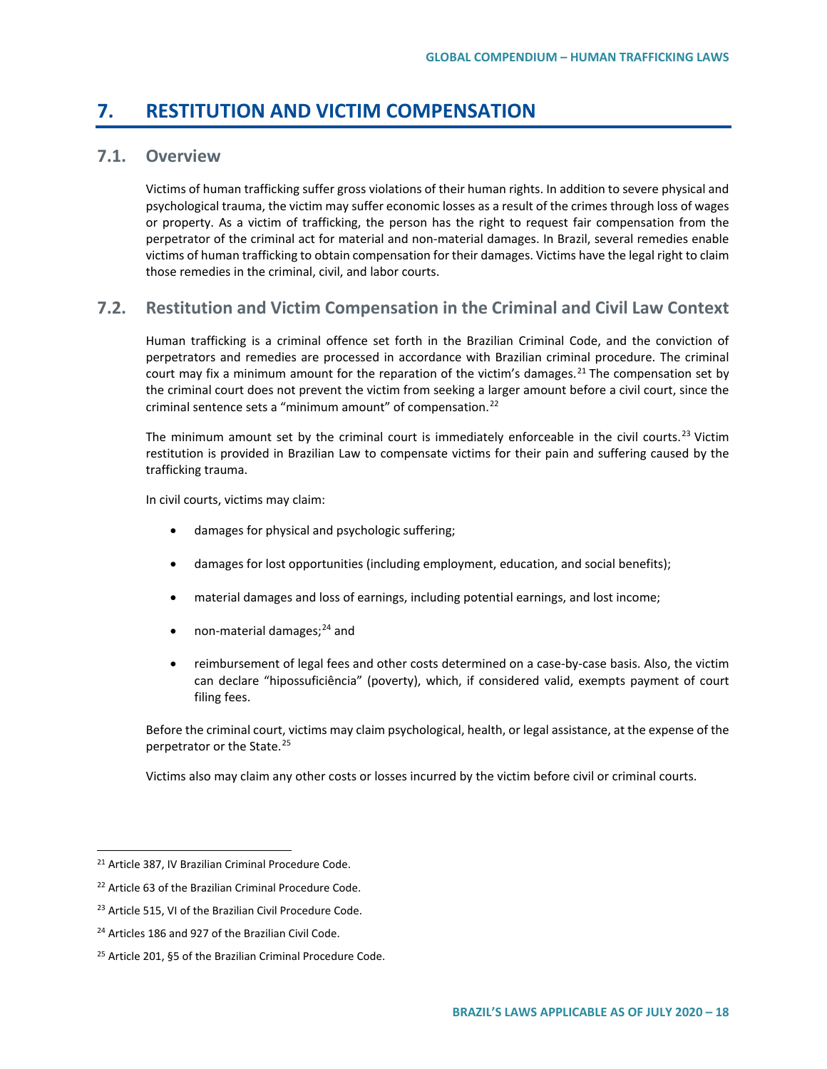## **7. RESTITUTION AND VICTIM COMPENSATION**

## **7.1. Overview**

Victims of human trafficking suffer gross violations of their human rights. In addition to severe physical and psychological trauma, the victim may suffer economic losses as a result of the crimes through loss of wages or property. As a victim of trafficking, the person has the right to request fair compensation from the perpetrator of the criminal act for material and non-material damages. In Brazil, several remedies enable victims of human trafficking to obtain compensation for their damages. Victims have the legal right to claim those remedies in the criminal, civil, and labor courts.

## **7.2. Restitution and Victim Compensation in the Criminal and Civil Law Context**

Human trafficking is a criminal offence set forth in the Brazilian Criminal Code, and the conviction of perpetrators and remedies are processed in accordance with Brazilian criminal procedure. The criminal court may fix a minimum amount for the reparation of the victim's damages.<sup>[21](#page-17-0)</sup> The compensation set by the criminal court does not prevent the victim from seeking a larger amount before a civil court, since the criminal sentence sets a "minimum amount" of compensation. $^{22}$  $^{22}$  $^{22}$ 

The minimum amount set by the criminal court is immediately enforceable in the civil courts.<sup>[23](#page-17-2)</sup> Victim restitution is provided in Brazilian Law to compensate victims for their pain and suffering caused by the trafficking trauma.

In civil courts, victims may claim:

- damages for physical and psychologic suffering;
- damages for lost opportunities (including employment, education, and social benefits);
- material damages and loss of earnings, including potential earnings, and lost income;
- non-material damages; $^{24}$  $^{24}$  $^{24}$  and
- reimbursement of legal fees and other costs determined on a case-by-case basis. Also, the victim can declare "hipossuficiência" (poverty), which, if considered valid, exempts payment of court filing fees.

Before the criminal court, victims may claim psychological, health, or legal assistance, at the expense of the perpetrator or the State.[25](#page-17-4)

Victims also may claim any other costs or losses incurred by the victim before civil or criminal courts.

<span id="page-17-0"></span> <sup>21</sup> Article 387, IV Brazilian Criminal Procedure Code.

<span id="page-17-1"></span><sup>22</sup> Article 63 of the Brazilian Criminal Procedure Code.

<span id="page-17-2"></span><sup>&</sup>lt;sup>23</sup> Article 515, VI of the Brazilian Civil Procedure Code.

<span id="page-17-3"></span><sup>&</sup>lt;sup>24</sup> Articles 186 and 927 of the Brazilian Civil Code.

<span id="page-17-4"></span><sup>25</sup> Article 201, §5 of the Brazilian Criminal Procedure Code.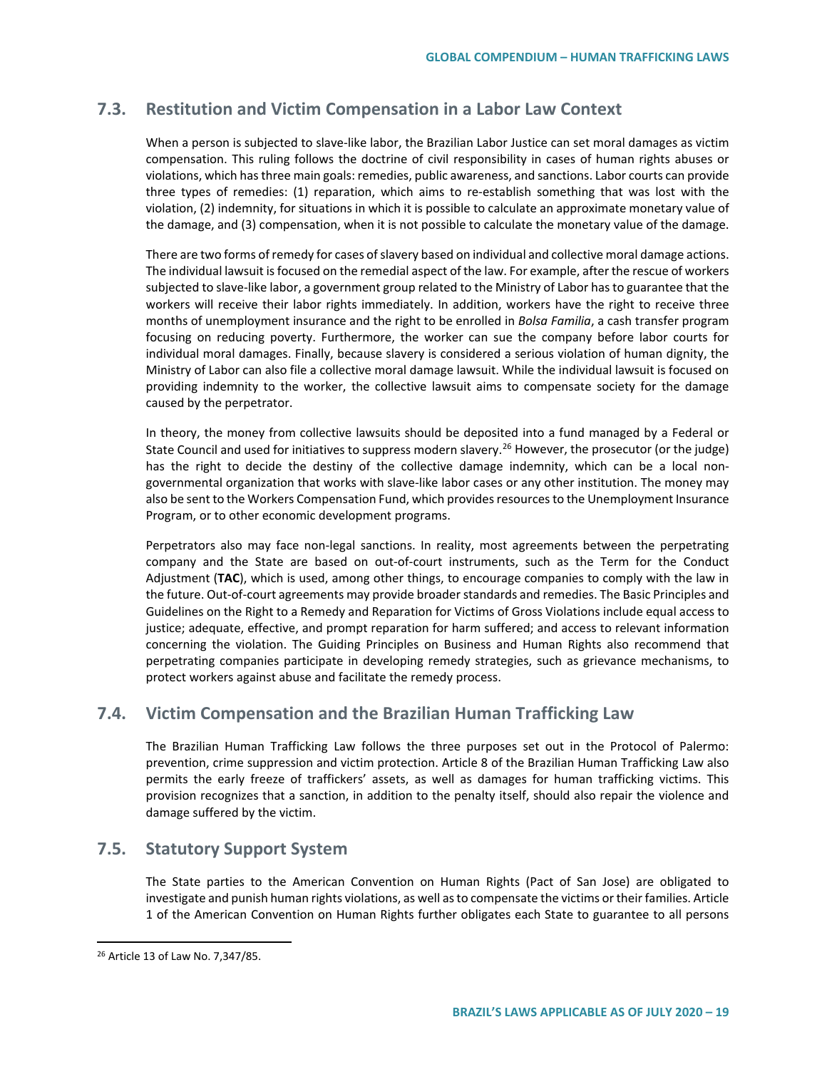## **7.3. Restitution and Victim Compensation in a Labor Law Context**

When a person is subjected to slave-like labor, the Brazilian Labor Justice can set moral damages as victim compensation. This ruling follows the doctrine of civil responsibility in cases of human rights abuses or violations, which has three main goals: remedies, public awareness, and sanctions. Labor courts can provide three types of remedies: (1) reparation, which aims to re-establish something that was lost with the violation, (2) indemnity, for situations in which it is possible to calculate an approximate monetary value of the damage, and (3) compensation, when it is not possible to calculate the monetary value of the damage.

There are two forms of remedy for cases of slavery based on individual and collective moral damage actions. The individual lawsuit is focused on the remedial aspect of the law. For example, after the rescue of workers subjected to slave-like labor, a government group related to the Ministry of Labor has to guarantee that the workers will receive their labor rights immediately. In addition, workers have the right to receive three months of unemployment insurance and the right to be enrolled in *Bolsa Familia*, a cash transfer program focusing on reducing poverty. Furthermore, the worker can sue the company before labor courts for individual moral damages. Finally, because slavery is considered a serious violation of human dignity, the Ministry of Labor can also file a collective moral damage lawsuit. While the individual lawsuit is focused on providing indemnity to the worker, the collective lawsuit aims to compensate society for the damage caused by the perpetrator.

In theory, the money from collective lawsuits should be deposited into a fund managed by a Federal or State Council and used for initiatives to suppress modern slavery.<sup>[26](#page-18-0)</sup> However, the prosecutor (or the judge) has the right to decide the destiny of the collective damage indemnity, which can be a local nongovernmental organization that works with slave-like labor cases or any other institution. The money may also be sent to the Workers Compensation Fund, which provides resources to the Unemployment Insurance Program, or to other economic development programs.

Perpetrators also may face non-legal sanctions. In reality, most agreements between the perpetrating company and the State are based on out-of-court instruments, such as the Term for the Conduct Adjustment (**TAC**), which is used, among other things, to encourage companies to comply with the law in the future. Out-of-court agreements may provide broader standards and remedies. The Basic Principles and Guidelines on the Right to a Remedy and Reparation for Victims of Gross Violations include equal access to justice; adequate, effective, and prompt reparation for harm suffered; and access to relevant information concerning the violation. The Guiding Principles on Business and Human Rights also recommend that perpetrating companies participate in developing remedy strategies, such as grievance mechanisms, to protect workers against abuse and facilitate the remedy process.

## **7.4. Victim Compensation and the Brazilian Human Trafficking Law**

The Brazilian Human Trafficking Law follows the three purposes set out in the Protocol of Palermo: prevention, crime suppression and victim protection. Article 8 of the Brazilian Human Trafficking Law also permits the early freeze of traffickers' assets, as well as damages for human trafficking victims. This provision recognizes that a sanction, in addition to the penalty itself, should also repair the violence and damage suffered by the victim.

### **7.5. Statutory Support System**

The State parties to the American Convention on Human Rights (Pact of San Jose) are obligated to investigate and punish human rights violations, as well as to compensate the victims or their families. Article 1 of the American Convention on Human Rights further obligates each State to guarantee to all persons

<span id="page-18-0"></span> <sup>26</sup> Article 13 of Law No. 7,347/85.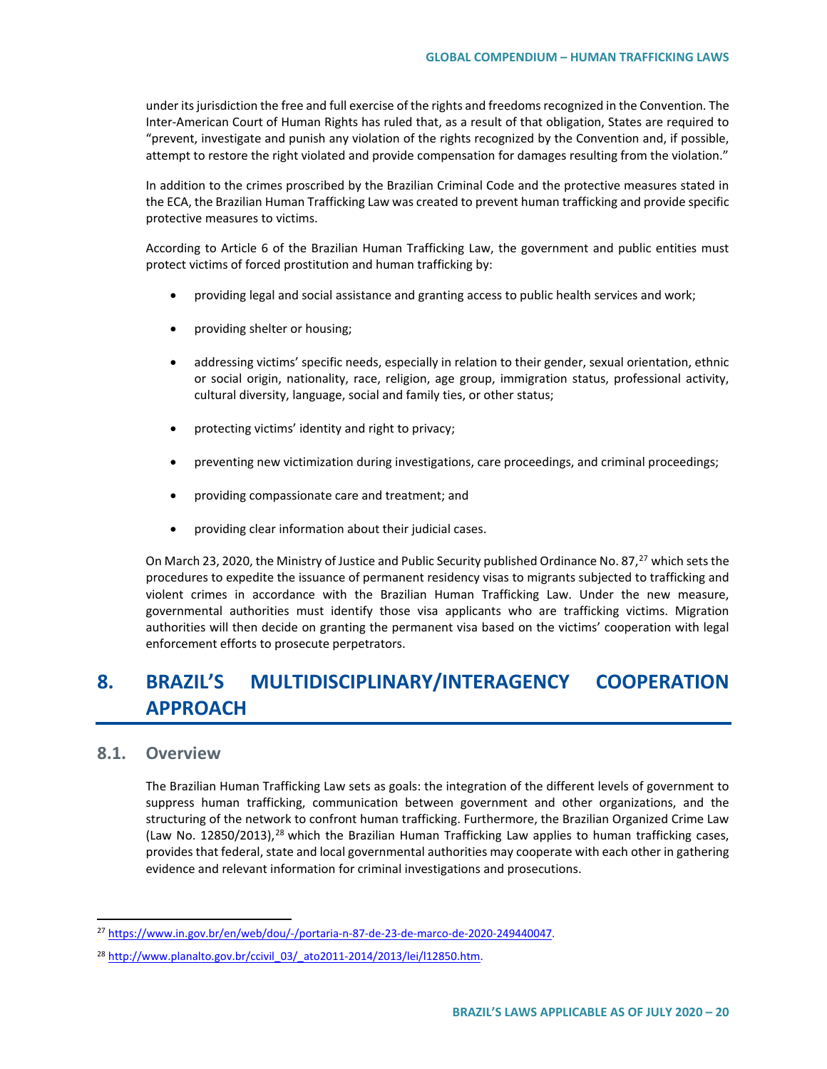under its jurisdiction the free and full exercise of the rights and freedoms recognized in the Convention. The Inter-American Court of Human Rights has ruled that, as a result of that obligation, States are required to "prevent, investigate and punish any violation of the rights recognized by the Convention and, if possible, attempt to restore the right violated and provide compensation for damages resulting from the violation."

In addition to the crimes proscribed by the Brazilian Criminal Code and the protective measures stated in the ECA, the Brazilian Human Trafficking Law was created to prevent human trafficking and provide specific protective measures to victims.

According to Article 6 of the Brazilian Human Trafficking Law, the government and public entities must protect victims of forced prostitution and human trafficking by:

- providing legal and social assistance and granting access to public health services and work;
- providing shelter or housing;
- addressing victims' specific needs, especially in relation to their gender, sexual orientation, ethnic or social origin, nationality, race, religion, age group, immigration status, professional activity, cultural diversity, language, social and family ties, or other status;
- protecting victims' identity and right to privacy;
- preventing new victimization during investigations, care proceedings, and criminal proceedings;
- providing compassionate care and treatment; and
- providing clear information about their judicial cases.

On March 23, 2020, the Ministry of Justice and Public Security published Ordinance No. 87,<sup>[27](#page-19-0)</sup> which sets the procedures to expedite the issuance of permanent residency visas to migrants subjected to trafficking and violent crimes in accordance with the Brazilian Human Trafficking Law. Under the new measure, governmental authorities must identify those visa applicants who are trafficking victims. Migration authorities will then decide on granting the permanent visa based on the victims' cooperation with legal enforcement efforts to prosecute perpetrators.

# **8. BRAZIL'S MULTIDISCIPLINARY/INTERAGENCY COOPERATION APPROACH**

### **8.1. Overview**

The Brazilian Human Trafficking Law sets as goals: the integration of the different levels of government to suppress human trafficking, communication between government and other organizations, and the structuring of the network to confront human trafficking. Furthermore, the Brazilian Organized Crime Law (Law No. 1[28](#page-19-1)50/2013),<sup>28</sup> which the Brazilian Human Trafficking Law applies to human trafficking cases, provides that federal, state and local governmental authorities may cooperate with each other in gathering evidence and relevant information for criminal investigations and prosecutions.

<span id="page-19-0"></span> <sup>27</sup> [https://www.in.gov.br/en/web/dou/-/portaria-n-87-de-23-de-marco-de-2020-249440047.](https://www.in.gov.br/en/web/dou/-/portaria-n-87-de-23-de-marco-de-2020-249440047)

<span id="page-19-1"></span><sup>28</sup> [http://www.planalto.gov.br/ccivil\\_03/\\_ato2011-2014/2013/lei/l12850.htm.](http://www.planalto.gov.br/ccivil_03/_ato2011-2014/2013/lei/l12850.htm)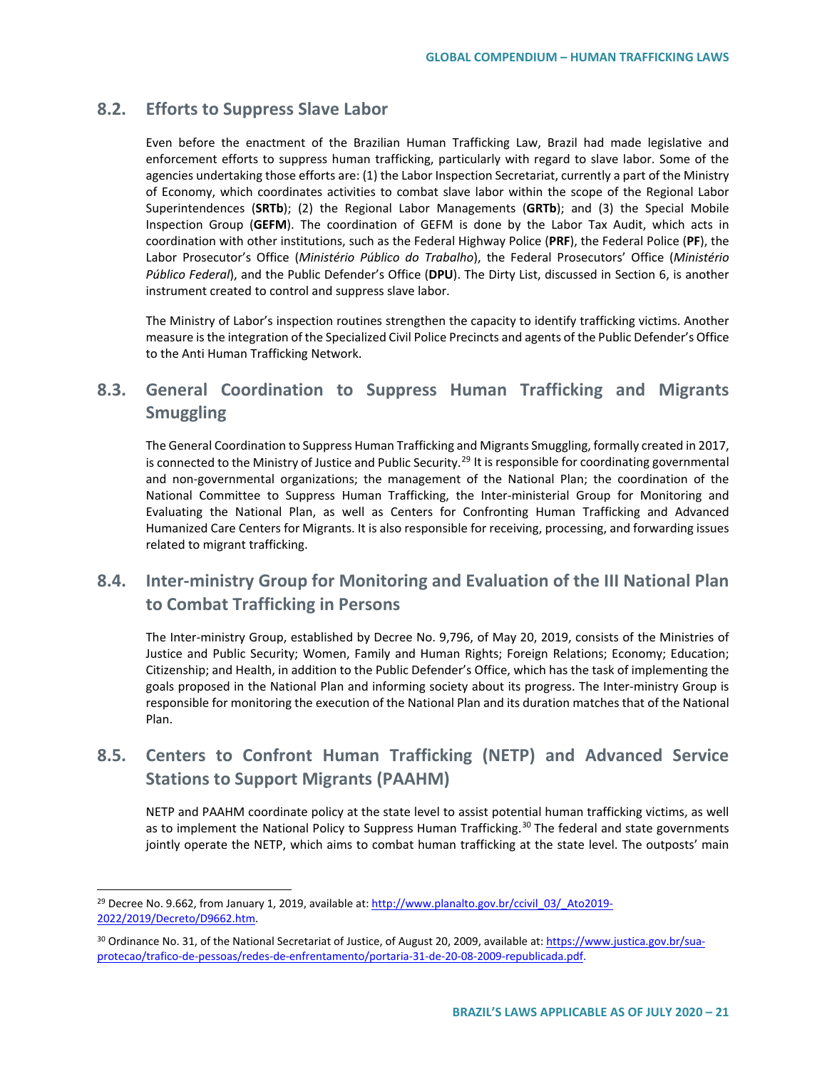## **8.2. Efforts to Suppress Slave Labor**

Even before the enactment of the Brazilian Human Trafficking Law, Brazil had made legislative and enforcement efforts to suppress human trafficking, particularly with regard to slave labor. Some of the agencies undertaking those efforts are: (1) the Labor Inspection Secretariat, currently a part of the Ministry of Economy, which coordinates activities to combat slave labor within the scope of the Regional Labor Superintendences (**SRTb**); (2) the Regional Labor Managements (**GRTb**); and (3) the Special Mobile Inspection Group (**GEFM**). The coordination of GEFM is done by the Labor Tax Audit, which acts in coordination with other institutions, such as the Federal Highway Police (**PRF**), the Federal Police (**PF**), the Labor Prosecutor's Office (*Ministério Público do Trabalho*), the Federal Prosecutors' Office (*Ministério Público Federal*), and the Public Defender's Office (**DPU**). The Dirty List, discussed in Section 6, is another instrument created to control and suppress slave labor.

The Ministry of Labor's inspection routines strengthen the capacity to identify trafficking victims. Another measure is the integration of the Specialized Civil Police Precincts and agents of the Public Defender's Office to the Anti Human Trafficking Network.

## **8.3. General Coordination to Suppress Human Trafficking and Migrants Smuggling**

The General Coordination to Suppress Human Trafficking and Migrants Smuggling, formally created in 2017, is connected to the Ministry of Justice and Public Security.<sup>[29](#page-20-0)</sup> It is responsible for coordinating governmental and non-governmental organizations; the management of the National Plan; the coordination of the National Committee to Suppress Human Trafficking, the Inter-ministerial Group for Monitoring and Evaluating the National Plan, as well as Centers for Confronting Human Trafficking and Advanced Humanized Care Centers for Migrants. It is also responsible for receiving, processing, and forwarding issues related to migrant trafficking.

## **8.4. Inter-ministry Group for Monitoring and Evaluation of the III National Plan to Combat Trafficking in Persons**

The Inter-ministry Group, established by Decree No. 9,796, of May 20, 2019, consists of the Ministries of Justice and Public Security; Women, Family and Human Rights; Foreign Relations; Economy; Education; Citizenship; and Health, in addition to the Public Defender's Office, which has the task of implementing the goals proposed in the National Plan and informing society about its progress. The Inter-ministry Group is responsible for monitoring the execution of the National Plan and its duration matches that of the National Plan.

## **8.5. Centers to Confront Human Trafficking (NETP) and Advanced Service Stations to Support Migrants (PAAHM)**

NETP and PAAHM coordinate policy at the state level to assist potential human trafficking victims, as well as to implement the National Policy to Suppress Human Trafficking.<sup>[30](#page-20-1)</sup> The federal and state governments jointly operate the NETP, which aims to combat human trafficking at the state level. The outposts' main

<span id="page-20-0"></span><sup>&</sup>lt;sup>29</sup> Decree No. 9.662, from January 1, 2019, available at[: http://www.planalto.gov.br/ccivil\\_03/\\_Ato2019-](http://www.planalto.gov.br/ccivil_03/_Ato2019-2022/2019/Decreto/D9662.htm) [2022/2019/Decreto/D9662.htm.](http://www.planalto.gov.br/ccivil_03/_Ato2019-2022/2019/Decreto/D9662.htm)

<span id="page-20-1"></span><sup>&</sup>lt;sup>30</sup> Ordinance No. 31, of the National Secretariat of Justice, of August 20, 2009, available at[: https://www.justica.gov.br/sua](https://www.justica.gov.br/sua-protecao/trafico-de-pessoas/redes-de-enfrentamento/portaria-31-de-20-08-2009-republicada.pdf)[protecao/trafico-de-pessoas/redes-de-enfrentamento/portaria-31-de-20-08-2009-republicada.pdf.](https://www.justica.gov.br/sua-protecao/trafico-de-pessoas/redes-de-enfrentamento/portaria-31-de-20-08-2009-republicada.pdf)